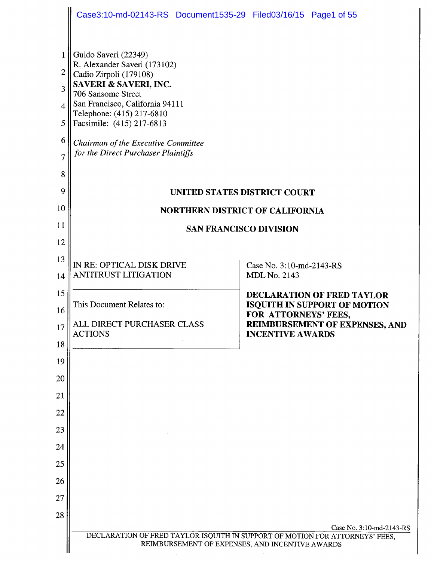|                                                 | Case3:10-md-02143-RS Document1535-29 Filed03/16/15 Page1 of 55                                                                                                                                                                                                                                           |                                                                                                                                 |  |  |
|-------------------------------------------------|----------------------------------------------------------------------------------------------------------------------------------------------------------------------------------------------------------------------------------------------------------------------------------------------------------|---------------------------------------------------------------------------------------------------------------------------------|--|--|
| 1<br>2<br>3<br>4<br>5<br>6<br>7<br>8<br>9<br>10 | Guido Saveri (22349)<br>R. Alexander Saveri (173102)<br>Cadio Zirpoli (179108)<br>SAVERI & SAVERI, INC.<br>706 Sansome Street<br>San Francisco, California 94111<br>Telephone: (415) 217-6810<br>Facsimile: (415) 217-6813<br>Chairman of the Executive Committee<br>for the Direct Purchaser Plaintiffs | UNITED STATES DISTRICT COURT                                                                                                    |  |  |
|                                                 | <b>NORTHERN DISTRICT OF CALIFORNIA</b>                                                                                                                                                                                                                                                                   |                                                                                                                                 |  |  |
| 11                                              | <b>SAN FRANCISCO DIVISION</b>                                                                                                                                                                                                                                                                            |                                                                                                                                 |  |  |
| 12                                              |                                                                                                                                                                                                                                                                                                          |                                                                                                                                 |  |  |
| 13                                              | IN RE: OPTICAL DISK DRIVE                                                                                                                                                                                                                                                                                | Case No. 3:10-md-2143-RS                                                                                                        |  |  |
| 14                                              | <b>ANTITRUST LITIGATION</b>                                                                                                                                                                                                                                                                              | MDL No. 2143                                                                                                                    |  |  |
| 15                                              | This Document Relates to:                                                                                                                                                                                                                                                                                | <b>DECLARATION OF FRED TAYLOR</b><br><b>ISQUITH IN SUPPORT OF MOTION</b>                                                        |  |  |
| 16                                              |                                                                                                                                                                                                                                                                                                          | FOR ATTORNEYS' FEES,                                                                                                            |  |  |
| 17                                              | ALL DIRECT PURCHASER CLASS<br><b>ACTIONS</b>                                                                                                                                                                                                                                                             | <b>REIMBURSEMENT OF EXPENSES, AND</b><br><b>INCENTIVE AWARDS</b>                                                                |  |  |
| 18                                              |                                                                                                                                                                                                                                                                                                          |                                                                                                                                 |  |  |
| 19                                              |                                                                                                                                                                                                                                                                                                          |                                                                                                                                 |  |  |
| 20                                              |                                                                                                                                                                                                                                                                                                          |                                                                                                                                 |  |  |
| 21                                              |                                                                                                                                                                                                                                                                                                          |                                                                                                                                 |  |  |
| 22                                              |                                                                                                                                                                                                                                                                                                          |                                                                                                                                 |  |  |
| 23<br>24                                        |                                                                                                                                                                                                                                                                                                          |                                                                                                                                 |  |  |
| 25                                              |                                                                                                                                                                                                                                                                                                          |                                                                                                                                 |  |  |
| 26                                              |                                                                                                                                                                                                                                                                                                          |                                                                                                                                 |  |  |
| 27                                              |                                                                                                                                                                                                                                                                                                          |                                                                                                                                 |  |  |
| 28                                              |                                                                                                                                                                                                                                                                                                          |                                                                                                                                 |  |  |
|                                                 |                                                                                                                                                                                                                                                                                                          | Case No. 3:10-md-2143-RS                                                                                                        |  |  |
|                                                 |                                                                                                                                                                                                                                                                                                          | DECLARATION OF FRED TAYLOR ISQUITH IN SUPPORT OF MOTION FOR ATTORNEYS' FEES,<br>REIMBURSEMENT OF EXPENSES, AND INCENTIVE AWARDS |  |  |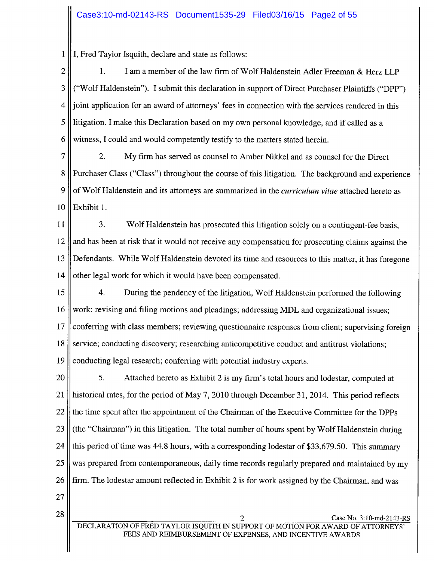$\mathbf{1}$ I, Fred Taylor Isquith, declare and state as follows:

 $\overline{2}$ I am a member of the law firm of Wolf Haldenstein Adler Freeman & Herz LLP 1. ("Wolf Haldenstein"). I submit this declaration in support of Direct Purchaser Plaintiffs ("DPP") 3 joint application for an award of attorneys' fees in connection with the services rendered in this  $\overline{\mathcal{A}}$ 5 litigation. I make this Declaration based on my own personal knowledge, and if called as a witness, I could and would competently testify to the matters stated herein. 6

2. 7 My firm has served as counsel to Amber Nikkel and as counsel for the Direct Purchaser Class ("Class") throughout the course of this litigation. The background and experience 8 of Wolf Haldenstein and its attorneys are summarized in the curriculum vitae attached hereto as 9 10 Exhibit 1.

 $3<sub>1</sub>$ 11 Wolf Haldenstein has prosecuted this litigation solely on a contingent-fee basis, 12 and has been at risk that it would not receive any compensation for prosecuting claims against the 13 Defendants. While Wolf Haldenstein devoted its time and resources to this matter, it has foregone other legal work for which it would have been compensated. 14

15  $4.$ During the pendency of the litigation, Wolf Haldenstein performed the following work: revising and filing motions and pleadings; addressing MDL and organizational issues; 16 conferring with class members; reviewing questionnaire responses from client; supervising foreign 17 18 service; conducting discovery; researching anticompetitive conduct and antitrust violations; 19 conducting legal research; conferring with potential industry experts.

20 5. Attached hereto as Exhibit 2 is my firm's total hours and lodestar, computed at 21 historical rates, for the period of May 7, 2010 through December 31, 2014. This period reflects 22 the time spent after the appointment of the Chairman of the Executive Committee for the DPPs 23 (the "Chairman") in this litigation. The total number of hours spent by Wolf Haldenstein during 24 this period of time was 44.8 hours, with a corresponding lodestar of \$33,679.50. This summary was prepared from contemporaneous, daily time records regularly prepared and maintained by my 25 26 firm. The lodestar amount reflected in Exhibit 2 is for work assigned by the Chairman, and was

27

28

Case No. 3:10-md-2143-RS DECLARATION OF FRED TAYLOR ISQUITH IN SUPPORT OF MOTION FOR AWARD OF ATTORNEYS FEES AND REIMBURSEMENT OF EXPENSES, AND INCENTIVE AWARDS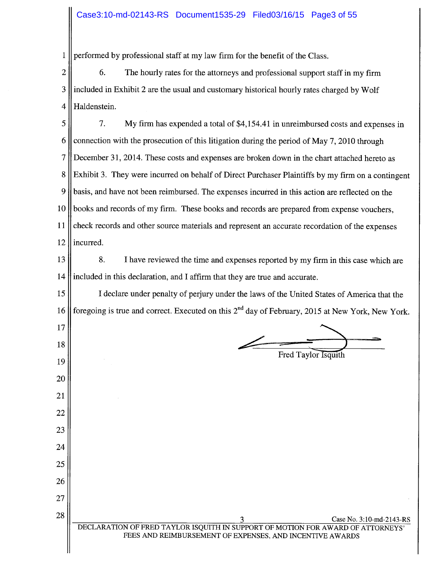#### Case3:10-md-02143-RS Document1535-29 Filed03/16/15 Page3 of 55

 $\mathbf{1}$ performed by professional staff at my law firm for the benefit of the Class.

 $\overline{2}$ 6. The hourly rates for the attorneys and professional support staff in my firm 3 included in Exhibit 2 are the usual and customary historical hourly rates charged by Wolf  $\overline{4}$ Haldenstein.

7. 5 My firm has expended a total of \$4,154.41 in unreimbursed costs and expenses in 6 connection with the prosecution of this litigation during the period of May 7, 2010 through  $\overline{7}$ December 31, 2014. These costs and expenses are broken down in the chart attached hereto as 8 Exhibit 3. They were incurred on behalf of Direct Purchaser Plaintiffs by my firm on a contingent 9 basis, and have not been reimbursed. The expenses incurred in this action are reflected on the 10 books and records of my firm. These books and records are prepared from expense vouchers, 11 check records and other source materials and represent an accurate recordation of the expenses 12 incurred.

8. 13 I have reviewed the time and expenses reported by my firm in this case which are included in this declaration, and I affirm that they are true and accurate. 14

15 I declare under penalty of perjury under the laws of the United States of America that the foregoing is true and correct. Executed on this  $2^{nd}$  day of February, 2015 at New York, New York. 16

17

18

19

20

21

22

23

24

25

26

27

28

Fred Taylor Isquith

Case No. 3:10-md-2143-RS DECLARATION OF FRED TAYLOR ISQUITH IN SUPPORT OF MOTION FOR AWARD OF ATTORNEYS FEES AND REIMBURSEMENT OF EXPENSES, AND INCENTIVE AWARDS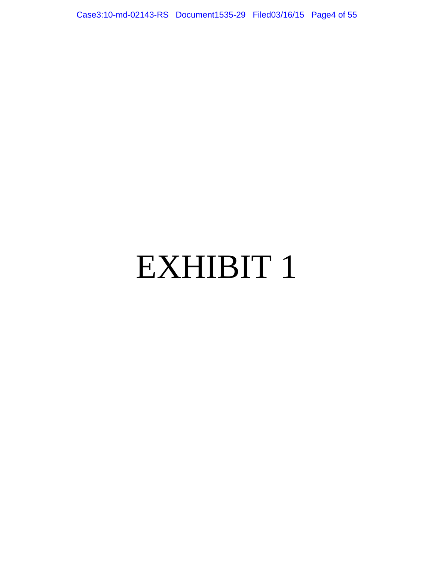Case3:10-md-02143-RS Document1535-29 Filed03/16/15 Page4 of 55

# EXHIBIT 1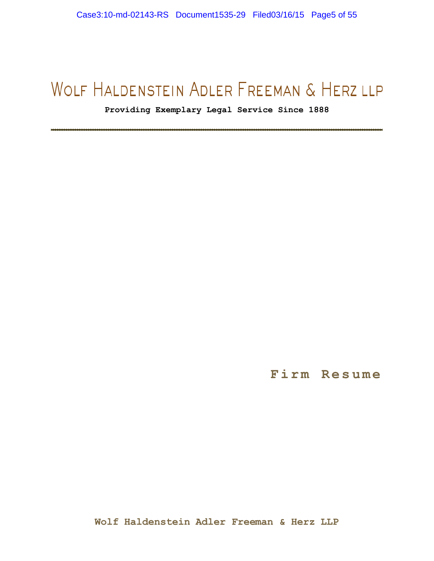**Providing Exemplary Legal Service Since 1888**

**------------------------------------------------------------------------------------------------------------------------------------------------------** 

**Firm Resume**

**Wolf Haldenstein Adler Freeman & Herz LLP**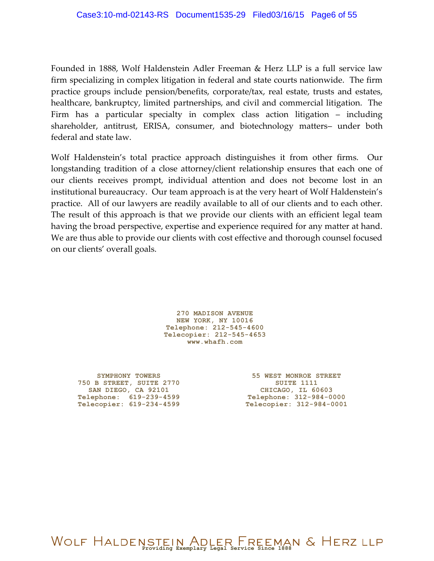Founded in 1888, Wolf Haldenstein Adler Freeman & Herz LLP is a full service law firm specializing in complex litigation in federal and state courts nationwide. The firm practice groups include pension/benefits, corporate/tax, real estate, trusts and estates, healthcare, bankruptcy, limited partnerships, and civil and commercial litigation. The Firm has a particular specialty in complex class action litigation – including shareholder, antitrust, ERISA, consumer, and biotechnology matters– under both federal and state law.

Wolf Haldenstein's total practice approach distinguishes it from other firms. Our longstanding tradition of a close attorney/client relationship ensures that each one of our clients receives prompt, individual attention and does not become lost in an institutional bureaucracy. Our team approach is at the very heart of Wolf Haldenstein's practice. All of our lawyers are readily available to all of our clients and to each other. The result of this approach is that we provide our clients with an efficient legal team having the broad perspective, expertise and experience required for any matter at hand. We are thus able to provide our clients with cost effective and thorough counsel focused on our clients' overall goals.

> **270 MADISON AVENUE NEW YORK, NY 10016 Telephone: 212-545-4600 Telecopier: 212-545-4653 [www.whafh.com](http://www.whafh.com/)**

**SYMPHONY TOWERS 750 B STREET, SUITE 2770 SAN DIEGO, CA 92101 Telephone: 619-239-4599 Telecopier: 619-234-4599**

**55 WEST MONROE STREET SUITE 1111<br>CHICAGO, IL 60603 CHICAGO, IL 60603 Telephone: 312-984-0000 Telecopier: 312-984-0001**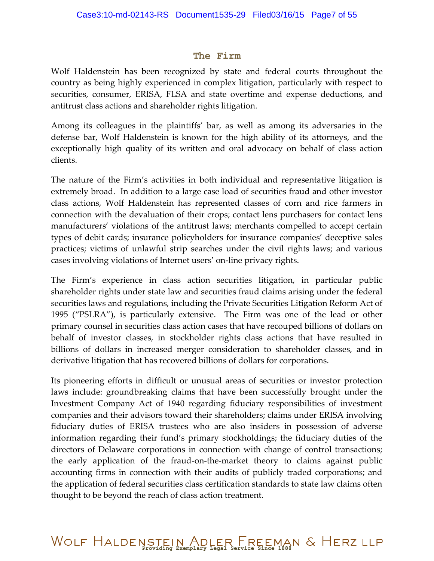#### **The Firm**

Wolf Haldenstein has been recognized by state and federal courts throughout the country as being highly experienced in complex litigation, particularly with respect to securities, consumer, ERISA, FLSA and state overtime and expense deductions, and antitrust class actions and shareholder rights litigation.

Among its colleagues in the plaintiffs' bar, as well as among its adversaries in the defense bar, Wolf Haldenstein is known for the high ability of its attorneys, and the exceptionally high quality of its written and oral advocacy on behalf of class action clients.

The nature of the Firm's activities in both individual and representative litigation is extremely broad. In addition to a large case load of securities fraud and other investor class actions, Wolf Haldenstein has represented classes of corn and rice farmers in connection with the devaluation of their crops; contact lens purchasers for contact lens manufacturers' violations of the antitrust laws; merchants compelled to accept certain types of debit cards; insurance policyholders for insurance companies' deceptive sales practices; victims of unlawful strip searches under the civil rights laws; and various cases involving violations of Internet users' on-line privacy rights.

The Firm's experience in class action securities litigation, in particular public shareholder rights under state law and securities fraud claims arising under the federal securities laws and regulations, including the Private Securities Litigation Reform Act of 1995 ("PSLRA"), is particularly extensive. The Firm was one of the lead or other primary counsel in securities class action cases that have recouped billions of dollars on behalf of investor classes, in stockholder rights class actions that have resulted in billions of dollars in increased merger consideration to shareholder classes, and in derivative litigation that has recovered billions of dollars for corporations.

Its pioneering efforts in difficult or unusual areas of securities or investor protection laws include: groundbreaking claims that have been successfully brought under the Investment Company Act of 1940 regarding fiduciary responsibilities of investment companies and their advisors toward their shareholders; claims under ERISA involving fiduciary duties of ERISA trustees who are also insiders in possession of adverse information regarding their fund's primary stockholdings; the fiduciary duties of the directors of Delaware corporations in connection with change of control transactions; the early application of the fraud-on-the-market theory to claims against public accounting firms in connection with their audits of publicly traded corporations; and the application of federal securities class certification standards to state law claims often thought to be beyond the reach of class action treatment.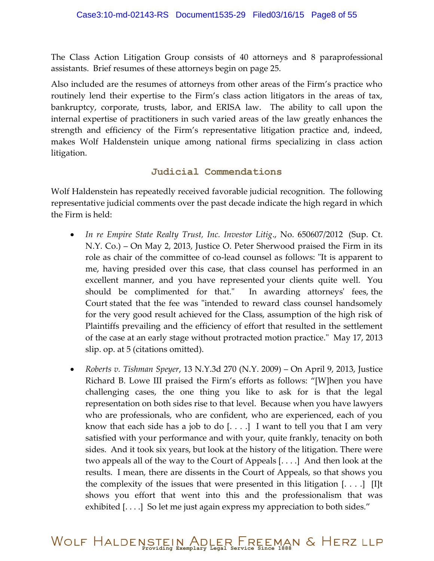The Class Action Litigation Group consists of 40 attorneys and 8 paraprofessional assistants. Brief resumes of these attorneys begin on page 25.

Also included are the resumes of attorneys from other areas of the Firm's practice who routinely lend their expertise to the Firm's class action litigators in the areas of tax, bankruptcy, corporate, trusts, labor, and ERISA law. The ability to call upon the internal expertise of practitioners in such varied areas of the law greatly enhances the strength and efficiency of the Firm's representative litigation practice and, indeed, makes Wolf Haldenstein unique among national firms specializing in class action litigation.

#### **Judicial Commendations**

Wolf Haldenstein has repeatedly received favorable judicial recognition. The following representative judicial comments over the past decade indicate the high regard in which the Firm is held:

- *In re Empire State Realty Trust, Inc. Investor Litig*., No. 650607/2012 (Sup. Ct. N.Y. Co.) – On May 2, 2013, Justice O. Peter Sherwood praised the Firm in its role as chair of the committee of co-lead counsel as follows: "It is apparent to me, having presided over this case, that class counsel has performed in an excellent manner, and you have represented your clients quite well. You should be complimented for that." In awarding attorneys' fees, the Court stated that the fee was "intended to reward class counsel handsomely for the very good result achieved for the Class, assumption of the high risk of Plaintiffs prevailing and the efficiency of effort that resulted in the settlement of the case at an early stage without protracted motion practice." May 17, 2013 slip. op. at 5 (citations omitted).
- *Roberts v. Tishman Speyer*, 13 N.Y.3d 270 (N.Y. 2009) On April 9, 2013, Justice Richard B. Lowe III praised the Firm's efforts as follows: "[W]hen you have challenging cases, the one thing you like to ask for is that the legal representation on both sides rise to that level. Because when you have lawyers who are professionals, who are confident, who are experienced, each of you know that each side has a job to do  $[...]$  I want to tell you that I am very satisfied with your performance and with your, quite frankly, tenacity on both sides. And it took six years, but look at the history of the litigation. There were two appeals all of the way to the Court of Appeals [. . . .] And then look at the results. I mean, there are dissents in the Court of Appeals, so that shows you the complexity of the issues that were presented in this litigation  $[\dots]$  [I]t shows you effort that went into this and the professionalism that was exhibited [...] So let me just again express my appreciation to both sides."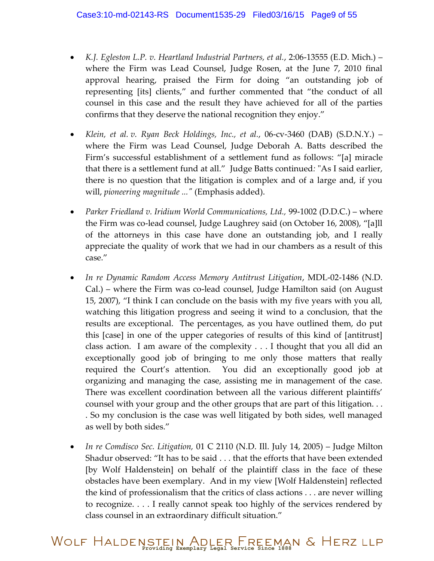- *K.J. Egleston L.P. v. Heartland Industrial Partners, et al.*, 2:06-13555 (E.D. Mich.) where the Firm was Lead Counsel, Judge Rosen, at the June 7, 2010 final approval hearing, praised the Firm for doing "an outstanding job of representing [its] clients," and further commented that "the conduct of all counsel in this case and the result they have achieved for all of the parties confirms that they deserve the national recognition they enjoy."
- *Klein, et al. v. Ryan Beck Holdings, Inc., et al.*, 06-cv-3460 (DAB) (S.D.N.Y.) where the Firm was Lead Counsel, Judge Deborah A. Batts described the Firm's successful establishment of a settlement fund as follows: "[a] miracle that there is a settlement fund at all." Judge Batts continued*:* "As I said earlier, there is no question that the litigation is complex and of a large and, if you will, *pioneering magnitude ..."* (Emphasis added).
- *Parker Friedland v. Iridium World Communications, Ltd.,* 99-1002 (D.D.C.) where the Firm was co-lead counsel, Judge Laughrey said (on October 16, 2008), "[a]ll of the attorneys in this case have done an outstanding job, and I really appreciate the quality of work that we had in our chambers as a result of this case."
- *In re Dynamic Random Access Memory Antitrust Litigation*, MDL-02-1486 (N.D. Cal.) – where the Firm was co-lead counsel, Judge Hamilton said (on August 15, 2007), "I think I can conclude on the basis with my five years with you all, watching this litigation progress and seeing it wind to a conclusion, that the results are exceptional. The percentages, as you have outlined them, do put this [case] in one of the upper categories of results of this kind of [antitrust] class action. I am aware of the complexity . . . I thought that you all did an exceptionally good job of bringing to me only those matters that really required the Court's attention. You did an exceptionally good job at organizing and managing the case, assisting me in management of the case. There was excellent coordination between all the various different plaintiffs' counsel with your group and the other groups that are part of this litigation. . . . So my conclusion is the case was well litigated by both sides, well managed as well by both sides."
- *In re Comdisco Sec. Litigation,* 01 C 2110 (N.D. Ill. July 14, 2005) Judge Milton Shadur observed: "It has to be said . . . that the efforts that have been extended [by Wolf Haldenstein] on behalf of the plaintiff class in the face of these obstacles have been exemplary. And in my view [Wolf Haldenstein] reflected the kind of professionalism that the critics of class actions . . . are never willing to recognize. . . . I really cannot speak too highly of the services rendered by class counsel in an extraordinary difficult situation."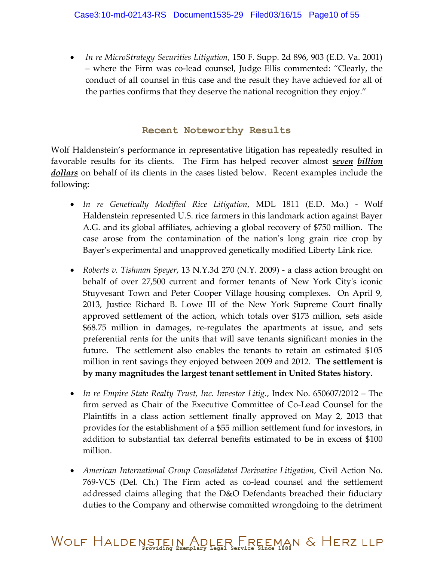*In re MicroStrategy Securities Litigation*, 150 F. Supp. 2d 896, 903 (E.D. Va. 2001) – where the Firm was co-lead counsel, Judge Ellis commented: "Clearly, the conduct of all counsel in this case and the result they have achieved for all of the parties confirms that they deserve the national recognition they enjoy."

#### **Recent Noteworthy Results**

Wolf Haldenstein's performance in representative litigation has repeatedly resulted in favorable results for its clients. The Firm has helped recover almost *seven billion dollars* on behalf of its clients in the cases listed below. Recent examples include the following:

- *In re Genetically Modified Rice Litigation*, MDL 1811 (E.D. Mo.) Wolf Haldenstein represented U.S. rice farmers in this landmark action against Bayer A.G. and its global affiliates, achieving a global recovery of \$750 million. The case arose from the contamination of the nation's long grain rice crop by Bayer's experimental and unapproved genetically modified Liberty Link rice.
- *Roberts v. Tishman Speyer*, 13 N.Y.3d 270 (N.Y. 2009) a class action brought on behalf of over 27,500 current and former tenants of New York City's iconic Stuyvesant Town and Peter Cooper Village housing complexes. On April 9, 2013, Justice Richard B. Lowe III of the New York Supreme Court finally approved settlement of the action, which totals over \$173 million, sets aside \$68.75 million in damages, re-regulates the apartments at issue, and sets preferential rents for the units that will save tenants significant monies in the future. The settlement also enables the tenants to retain an estimated \$105 million in rent savings they enjoyed between 2009 and 2012. **The settlement is by many magnitudes the largest tenant settlement in United States history.**
- *In re Empire State Realty Trust, Inc. Investor Litig.*, Index No. 650607/2012 The firm served as Chair of the Executive Committee of Co-Lead Counsel for the Plaintiffs in a class action settlement finally approved on May 2, 2013 that provides for the establishment of a \$55 million settlement fund for investors, in addition to substantial tax deferral benefits estimated to be in excess of \$100 million.
- *American International Group Consolidated Derivative Litigation*, Civil Action No. 769-VCS (Del. Ch.) The Firm acted as co-lead counsel and the settlement addressed claims alleging that the D&O Defendants breached their fiduciary duties to the Company and otherwise committed wrongdoing to the detriment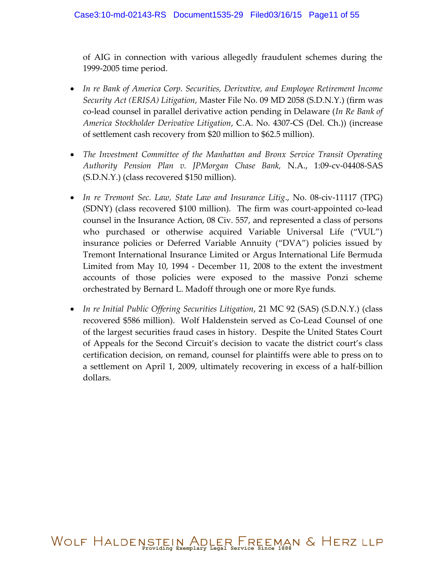of AIG in connection with various allegedly fraudulent schemes during the 1999-2005 time period.

- *In re Bank of America Corp. Securities, Derivative, and Employee Retirement Income Security Act (ERISA) Litigation*, Master File No. 09 MD 2058 (S.D.N.Y.) (firm was co-lead counsel in parallel derivative action pending in Delaware (*In Re Bank of America Stockholder Derivative Litigation*, C.A. No. 4307-CS (Del. Ch.)) (increase of settlement cash recovery from \$20 million to \$62.5 million).
- *The Investment Committee of the Manhattan and Bronx Service Transit Operating Authority Pension Plan v. JPMorgan Chase Bank,* N.A., 1:09-cv-04408-SAS (S.D.N.Y.) (class recovered \$150 million).
- *In re Tremont Sec. Law, State Law and Insurance Litig*., No. 08-civ-11117 (TPG) (SDNY) (class recovered \$100 million). The firm was court-appointed co-lead counsel in the Insurance Action, 08 Civ. 557, and represented a class of persons who purchased or otherwise acquired Variable Universal Life ("VUL") insurance policies or Deferred Variable Annuity ("DVA") policies issued by Tremont International Insurance Limited or Argus International Life Bermuda Limited from May 10, 1994 - December 11, 2008 to the extent the investment accounts of those policies were exposed to the massive Ponzi scheme orchestrated by Bernard L. Madoff through one or more Rye funds.
- *In re Initial Public Offering Securities Litigation*, 21 MC 92 (SAS) (S.D.N.Y.) (class recovered \$586 million). Wolf Haldenstein served as Co-Lead Counsel of one of the largest securities fraud cases in history. Despite the United States Court of Appeals for the Second Circuit's decision to vacate the district court's class certification decision, on remand, counsel for plaintiffs were able to press on to a settlement on April 1, 2009, ultimately recovering in excess of a half-billion dollars.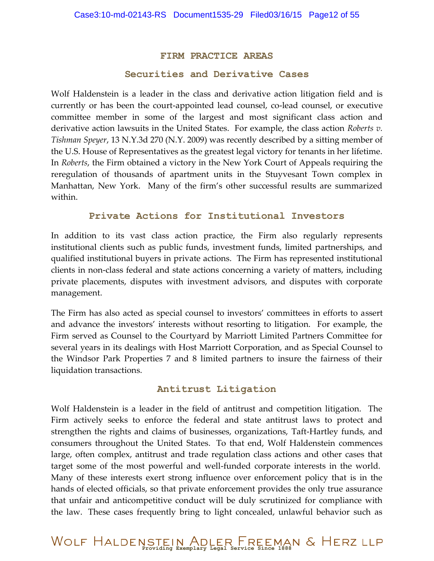#### **FIRM PRACTICE AREAS**

#### **Securities and Derivative Cases**

Wolf Haldenstein is a leader in the class and derivative action litigation field and is currently or has been the court-appointed lead counsel, co-lead counsel, or executive committee member in some of the largest and most significant class action and derivative action lawsuits in the United States. For example, the class action *Roberts v. Tishman Speyer*, 13 N.Y.3d 270 (N.Y. 2009) was recently described by a sitting member of the U.S. House of Representatives as the greatest legal victory for tenants in her lifetime. In *Roberts*, the Firm obtained a victory in the New York Court of Appeals requiring the reregulation of thousands of apartment units in the Stuyvesant Town complex in Manhattan, New York. Many of the firm's other successful results are summarized within.

#### **Private Actions for Institutional Investors**

In addition to its vast class action practice, the Firm also regularly represents institutional clients such as public funds, investment funds, limited partnerships, and qualified institutional buyers in private actions. The Firm has represented institutional clients in non-class federal and state actions concerning a variety of matters, including private placements, disputes with investment advisors, and disputes with corporate management.

The Firm has also acted as special counsel to investors' committees in efforts to assert and advance the investors' interests without resorting to litigation. For example, the Firm served as Counsel to the Courtyard by Marriott Limited Partners Committee for several years in its dealings with Host Marriott Corporation, and as Special Counsel to the Windsor Park Properties 7 and 8 limited partners to insure the fairness of their liquidation transactions.

#### **Antitrust Litigation**

Wolf Haldenstein is a leader in the field of antitrust and competition litigation. The Firm actively seeks to enforce the federal and state antitrust laws to protect and strengthen the rights and claims of businesses, organizations, Taft-Hartley funds, and consumers throughout the United States. To that end, Wolf Haldenstein commences large, often complex, antitrust and trade regulation class actions and other cases that target some of the most powerful and well-funded corporate interests in the world. Many of these interests exert strong influence over enforcement policy that is in the hands of elected officials, so that private enforcement provides the only true assurance that unfair and anticompetitive conduct will be duly scrutinized for compliance with the law. These cases frequently bring to light concealed, unlawful behavior such as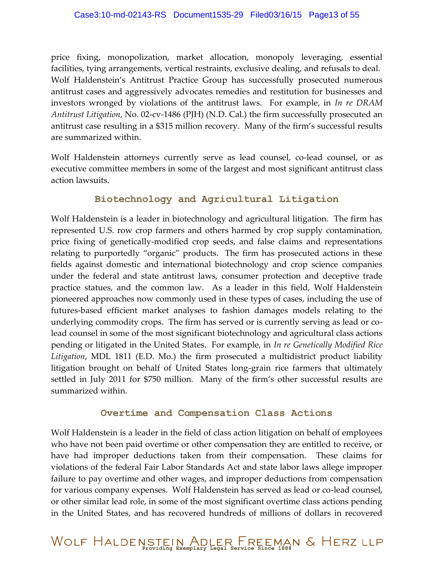price fixing, monopolization, market allocation, monopoly leveraging, essential facilities, tying arrangements, vertical restraints, exclusive dealing, and refusals to deal. Wolf Haldenstein's Antitrust Practice Group has successfully prosecuted numerous antitrust cases and aggressively advocates remedies and restitution for businesses and investors wronged by violations of the antitrust laws. For example, in *In re DRAM Antitrust Litigation*, No. 02-cv-1486 (PJH) (N.D. Cal.) the firm successfully prosecuted an antitrust case resulting in a \$315 million recovery. Many of the firm's successful results are summarized within.

Wolf Haldenstein attorneys currently serve as lead counsel, co-lead counsel, or as executive committee members in some of the largest and most significant antitrust class action lawsuits.

#### **Biotechnology and Agricultural Litigation**

Wolf Haldenstein is a leader in biotechnology and agricultural litigation. The firm has represented U.S. row crop farmers and others harmed by crop supply contamination, price fixing of genetically-modified crop seeds, and false claims and representations relating to purportedly "organic" products. The firm has prosecuted actions in these fields against domestic and international biotechnology and crop science companies under the federal and state antitrust laws, consumer protection and deceptive trade practice statues, and the common law. As a leader in this field, Wolf Haldenstein pioneered approaches now commonly used in these types of cases, including the use of futures-based efficient market analyses to fashion damages models relating to the underlying commodity crops. The firm has served or is currently serving as lead or colead counsel in some of the most significant biotechnology and agricultural class actions pending or litigated in the United States. For example, in *In re Genetically Modified Rice Litigation*, MDL 1811 (E.D. Mo.) the firm prosecuted a multidistrict product liability litigation brought on behalf of United States long-grain rice farmers that ultimately settled in July 2011 for \$750 million. Many of the firm's other successful results are summarized within.

#### **Overtime and Compensation Class Actions**

Wolf Haldenstein is a leader in the field of class action litigation on behalf of employees who have not been paid overtime or other compensation they are entitled to receive, or have had improper deductions taken from their compensation. These claims for violations of the federal Fair Labor Standards Act and state labor laws allege improper failure to pay overtime and other wages, and improper deductions from compensation for various company expenses. Wolf Haldenstein has served as lead or co-lead counsel, or other similar lead role, in some of the most significant overtime class actions pending in the United States, and has recovered hundreds of millions of dollars in recovered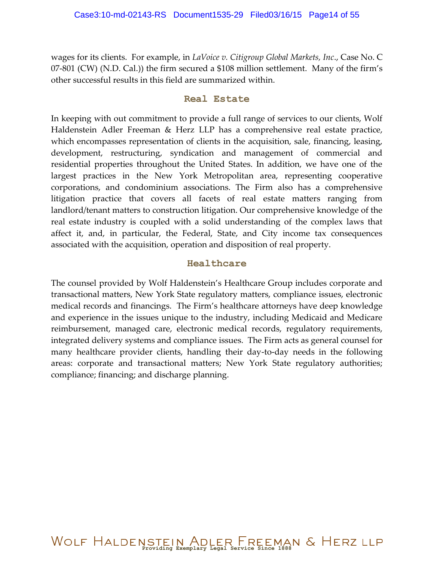wages for its clients. For example, in *LaVoice v. Citigroup Global Markets, Inc*., Case No. C 07-801 (CW) (N.D. Cal.)) the firm secured a \$108 million settlement. Many of the firm's other successful results in this field are summarized within.

#### **Real Estate**

In keeping with out commitment to provide a full range of services to our clients, Wolf Haldenstein Adler Freeman & Herz LLP has a comprehensive real estate practice, which encompasses representation of clients in the acquisition, sale, financing, leasing, development, restructuring, syndication and management of commercial and residential properties throughout the United States. In addition, we have one of the largest practices in the New York Metropolitan area, representing cooperative corporations, and condominium associations. The Firm also has a comprehensive litigation practice that covers all facets of real estate matters ranging from landlord/tenant matters to construction litigation. Our comprehensive knowledge of the real estate industry is coupled with a solid understanding of the complex laws that affect it, and, in particular, the Federal, State, and City income tax consequences associated with the acquisition, operation and disposition of real property.

#### **Healthcare**

The counsel provided by Wolf Haldenstein's Healthcare Group includes corporate and transactional matters, New York State regulatory matters, compliance issues, electronic medical records and financings. The Firm's healthcare attorneys have deep knowledge and experience in the issues unique to the industry, including Medicaid and Medicare reimbursement, managed care, electronic medical records, regulatory requirements, integrated delivery systems and compliance issues. The Firm acts as general counsel for many healthcare provider clients, handling their day-to-day needs in the following areas: corporate and transactional matters; New York State regulatory authorities; compliance; financing; and discharge planning.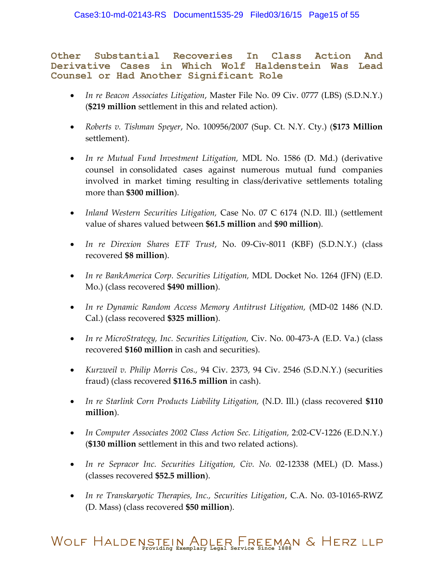**Other Substantial Recoveries In Class Action And Derivative Cases in Which Wolf Haldenstein Was Lead Counsel or Had Another Significant Role**

- *In re Beacon Associates Litigation*, Master File No. 09 Civ. 0777 (LBS) (S.D.N.Y.) (**\$219 million** settlement in this and related action).
- *Roberts v. Tishman Speyer*, No. 100956/2007 (Sup. Ct. N.Y. Cty.) (**\$173 Million**  settlement).
- *In re Mutual Fund Investment Litigation,* MDL No. 1586 (D. Md.) (derivative counsel in consolidated cases against numerous mutual fund companies involved in market timing resulting in class/derivative settlements totaling more than **\$300 million**).
- *Inland Western Securities Litigation,* Case No. 07 C 6174 (N.D. Ill.) (settlement value of shares valued between **\$61.5 million** and **\$90 million**).
- *In re Direxion Shares ETF Trust*, No. 09-Civ-8011 (KBF) (S.D.N.Y.) (class recovered **\$8 million**).
- *In re BankAmerica Corp. Securities Litigation,* MDL Docket No. 1264 (JFN) (E.D. Mo.) (class recovered **\$490 million**).
- *In re Dynamic Random Access Memory Antitrust Litigation,* (MD-02 1486 (N.D. Cal.) (class recovered **\$325 million**).
- *In re MicroStrategy, Inc. Securities Litigation,* Civ. No. 00-473-A (E.D. Va.) (class recovered **\$160 million** in cash and securities).
- *Kurzweil v. Philip Morris Cos.,* 94 Civ. 2373, 94 Civ. 2546 (S.D.N.Y.) (securities fraud) (class recovered **\$116.5 million** in cash).
- *In re Starlink Corn Products Liability Litigation,* (N.D. Ill.) (class recovered **\$110 million**).
- In Computer Associates 2002 Class Action Sec. Litigation, 2:02-CV-1226 (E.D.N.Y.) (**\$130 million** settlement in this and two related actions).
- *In re Sepracor Inc. Securities Litigation, Civ. No.* 02-12338 (MEL) (D. Mass.) (classes recovered **\$52.5 million**).
- *In re Transkaryotic Therapies, Inc., Securities Litigation*, C.A. No. 03-10165-RWZ (D. Mass) (class recovered **\$50 million**).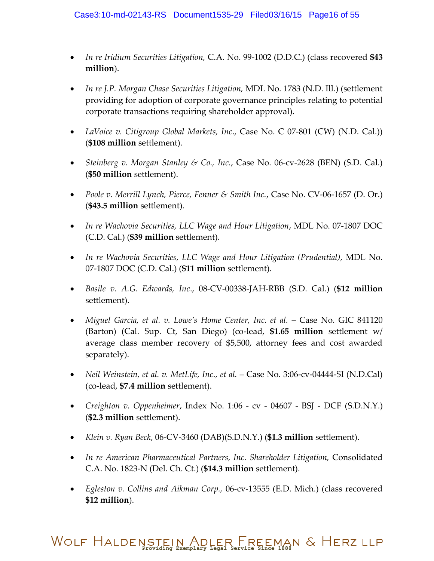- *In re Iridium Securities Litigation,* C.A. No. 99-1002 (D.D.C.) (class recovered **\$43 million**).
- *In re J.P. Morgan Chase Securities Litigation,* MDL No. 1783 (N.D. Ill.) (settlement providing for adoption of corporate governance principles relating to potential corporate transactions requiring shareholder approval).
- *LaVoice v. Citigroup Global Markets, Inc*., Case No. C 07-801 (CW) (N.D. Cal.)) (**\$108 million** settlement).
- *Steinberg v. Morgan Stanley & Co., Inc.*, Case No. 06-cv-2628 (BEN) (S.D. Cal.) (**\$50 million** settlement).
- *Poole v. Merrill Lynch, Pierce, Fenner & Smith Inc.*, Case No. CV-06-1657 (D. Or.) (**\$43.5 million** settlement).
- *In re Wachovia Securities, LLC Wage and Hour Litigation*, MDL No. 07-1807 DOC (C.D. Cal.) (**\$39 million** settlement).
- *In re Wachovia Securities, LLC Wage and Hour Litigation (Prudential)*, MDL No. 07-1807 DOC (C.D. Cal.) (**\$11 million** settlement).
- *Basile v. A.G. Edwards, Inc*., 08-CV-00338-JAH-RBB (S.D. Cal.) (**\$12 million**  settlement).
- *Miguel Garcia, et al. v. Lowe's Home Center, Inc. et al.* Case No. GIC 841120 (Barton) (Cal. Sup. Ct, San Diego) (co-lead, **\$1.65 million** settlement w/ average class member recovery of \$5,500, attorney fees and cost awarded separately).
- *Neil Weinstein, et al. v. MetLife, Inc., et al.* Case No. 3:06-cv-04444-SI (N.D.Cal) (co-lead, **\$7.4 million** settlement).
- *Creighton v. Oppenheimer*, Index No. 1:06 cv 04607 BSJ DCF (S.D.N.Y.) (**\$2.3 million** settlement).
- *Klein v. Ryan Beck*, 06-CV-3460 (DAB)(S.D.N.Y.) (**\$1.3 million** settlement).
- *In re American Pharmaceutical Partners, Inc. Shareholder Litigation,* Consolidated C.A. No. 1823-N (Del. Ch. Ct.) (**\$14.3 million** settlement).
- *Egleston v. Collins and Aikman Corp.,* 06-cv-13555 (E.D. Mich.) (class recovered **\$12 million**).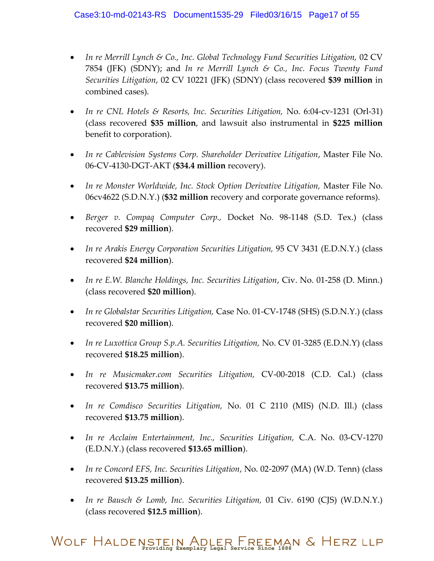- *In re Merrill Lynch & Co., Inc. Global Technology Fund Securities Litigation,* 02 CV 7854 (JFK) (SDNY); and *In re Merrill Lynch & Co., Inc. Focus Twenty Fund Securities Litigation*, 02 CV 10221 (JFK) (SDNY) (class recovered **\$39 million** in combined cases).
- *In re CNL Hotels & Resorts, Inc. Securities Litigation,* No. 6:04-cv-1231 (Orl-31) (class recovered **\$35 million**, and lawsuit also instrumental in **\$225 million** benefit to corporation).
- *In re Cablevision Systems Corp. Shareholder Derivative Litigation*, Master File No. 06-CV-4130-DGT-AKT (**\$34.4 million** recovery).
- *In re Monster Worldwide, Inc. Stock Option Derivative Litigation,* Master File No. 06cv4622 (S.D.N.Y.) (**\$32 million** recovery and corporate governance reforms).
- *Berger v. Compaq Computer Corp.,* Docket No. 98-1148 (S.D. Tex.) (class recovered **\$29 million**).
- *In re Arakis Energy Corporation Securities Litigation,* 95 CV 3431 (E.D.N.Y.) (class recovered **\$24 million**).
- *In re E.W. Blanche Holdings, Inc. Securities Litigation*, Civ. No. 01-258 (D. Minn.) (class recovered **\$20 million**).
- *In re Globalstar Securities Litigation,* Case No. 01-CV-1748 (SHS) (S.D.N.Y.) (class recovered **\$20 million**).
- *In re Luxottica Group S.p.A. Securities Litigation,* No. CV 01-3285 (E.D.N.Y) (class recovered **\$18.25 million**).
- *In re Musicmaker.com Securities Litigation,* CV-00-2018 (C.D. Cal.) (class recovered **\$13.75 million**).
- *In re Comdisco Securities Litigation,* No. 01 C 2110 (MIS) (N.D. Ill.) (class recovered **\$13.75 million**).
- *In re Acclaim Entertainment, Inc., Securities Litigation,* C.A. No. 03-CV-1270 (E.D.N.Y.) (class recovered **\$13.65 million**).
- *In re Concord EFS, Inc. Securities Litigation*, No. 02-2097 (MA) (W.D. Tenn) (class recovered **\$13.25 million**).
- *In re Bausch & Lomb, Inc. Securities Litigation,* 01 Civ. 6190 (CJS) (W.D.N.Y.) (class recovered **\$12.5 million**).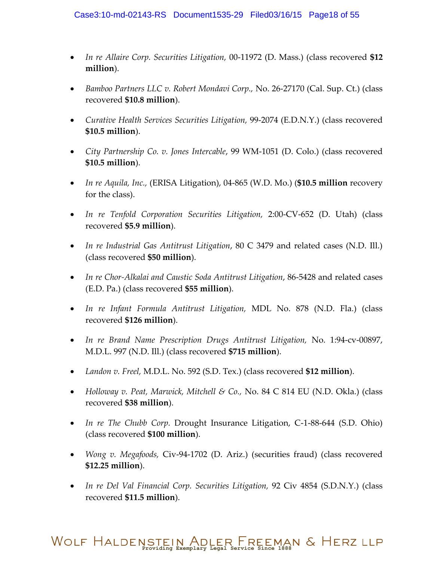- *In re Allaire Corp. Securities Litigation,* 00-11972 (D. Mass.) (class recovered **\$12 million**).
- *Bamboo Partners LLC v. Robert Mondavi Corp.,* No. 26-27170 (Cal. Sup. Ct.) (class recovered **\$10.8 million**).
- *Curative Health Services Securities Litigation,* 99-2074 (E.D.N.Y.) (class recovered **\$10.5 million**).
- *City Partnership Co. v. Jones Intercable*, 99 WM-1051 (D. Colo.) (class recovered **\$10.5 million**).
- *In re Aquila, Inc.,* (ERISA Litigation), 04-865 (W.D. Mo.) (**\$10.5 million** recovery for the class).
- *In re Tenfold Corporation Securities Litigation,* 2:00-CV-652 (D. Utah) (class recovered **\$5.9 million**).
- *In re Industrial Gas Antitrust Litigation*, 80 C 3479 and related cases (N.D. Ill.) (class recovered **\$50 million**).
- *In re Chor-Alkalai and Caustic Soda Antitrust Litigation*, 86-5428 and related cases (E.D. Pa.) (class recovered **\$55 million**).
- *In re Infant Formula Antitrust Litigation,* MDL No. 878 (N.D. Fla.) (class recovered **\$126 million**).
- *In re Brand Name Prescription Drugs Antitrust Litigation,* No. 1:94-cv-00897, M.D.L. 997 (N.D. Ill.) (class recovered **\$715 million**).
- *Landon v. Freel,* M.D.L. No. 592 (S.D. Tex.) (class recovered **\$12 million**).
- *Holloway v. Peat, Marwick, Mitchell & Co.,* No. 84 C 814 EU (N.D. Okla.) (class recovered **\$38 million**).
- *In re The Chubb Corp.* Drought Insurance Litigation, C-1-88-644 (S.D. Ohio) (class recovered **\$100 million**).
- *Wong v. Megafoods,* Civ-94-1702 (D. Ariz.) (securities fraud) (class recovered **\$12.25 million**).
- *In re Del Val Financial Corp. Securities Litigation,* 92 Civ 4854 (S.D.N.Y.) (class recovered **\$11.5 million**).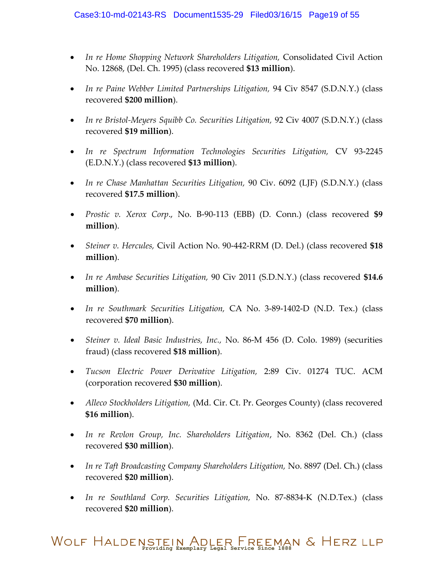- In re Home Shopping Network Shareholders Litigation, Consolidated Civil Action No. 12868, (Del. Ch. 1995) (class recovered **\$13 million**).
- In re Paine Webber Limited Partnerships Litigation, 94 Civ 8547 (S.D.N.Y.) (class recovered **\$200 million**).
- *In re Bristol-Meyers Squibb Co. Securities Litigation,* 92 Civ 4007 (S.D.N.Y.) (class recovered **\$19 million**).
- In re Spectrum Information Technologies Securities Litigation, CV 93-2245 (E.D.N.Y.) (class recovered **\$13 million**).
- *In re Chase Manhattan Securities Litigation,* 90 Civ. 6092 (LJF) (S.D.N.Y.) (class recovered **\$17.5 million**).
- *Prostic v. Xerox Corp*., No. B-90-113 (EBB) (D. Conn.) (class recovered **\$9 million**).
- *Steiner v. Hercules,* Civil Action No. 90-442-RRM (D. Del.) (class recovered **\$18 million**).
- *In re Ambase Securities Litigation,* 90 Civ 2011 (S.D.N.Y.) (class recovered **\$14.6 million**).
- *In re Southmark Securities Litigation,* CA No. 3-89-1402-D (N.D. Tex.) (class recovered **\$70 million**).
- *Steiner v. Ideal Basic Industries, Inc.,* No. 86-M 456 (D. Colo. 1989) (securities fraud) (class recovered **\$18 million**).
- *Tucson Electric Power Derivative Litigation,* 2:89 Civ. 01274 TUC. ACM (corporation recovered **\$30 million**).
- *Alleco Stockholders Litigation,* (Md. Cir. Ct. Pr. Georges County) (class recovered **\$16 million**).
- *In re Revlon Group, Inc. Shareholders Litigation*, No. 8362 (Del. Ch.) (class recovered **\$30 million**).
- *In re Taft Broadcasting Company Shareholders Litigation,* No. 8897 (Del. Ch.) (class recovered **\$20 million**).
- *In re Southland Corp. Securities Litigation,* No. 87-8834-K (N.D.Tex.) (class recovered **\$20 million**).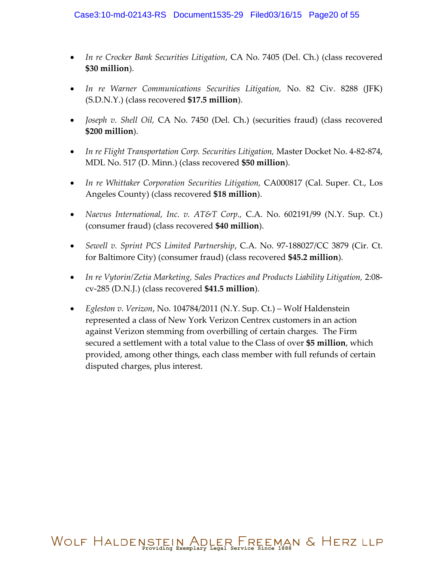- *In re Crocker Bank Securities Litigation*, CA No. 7405 (Del. Ch.) (class recovered **\$30 million**).
- *In re Warner Communications Securities Litigation,* No. 82 Civ. 8288 (JFK) (S.D.N.Y.) (class recovered **\$17.5 million**).
- *Joseph v. Shell Oil,* CA No. 7450 (Del. Ch.) (securities fraud) (class recovered **\$200 million**).
- *In re Flight Transportation Corp. Securities Litigation,* Master Docket No. 4-82-874, MDL No. 517 (D. Minn.) (class recovered **\$50 million**).
- In re Whittaker Corporation Securities Litigation, CA000817 (Cal. Super. Ct., Los Angeles County) (class recovered **\$18 million**).
- *Naevus International, Inc. v. AT&T Corp.,* C.A. No. 602191/99 (N.Y. Sup. Ct.) (consumer fraud) (class recovered **\$40 million**).
- *Sewell v. Sprint PCS Limited Partnership*, C.A. No. 97-188027/CC 3879 (Cir. Ct. for Baltimore City) (consumer fraud) (class recovered **\$45.2 million**).
- In re Vytorin/Zetia Marketing, Sales Practices and Products Liability Litigation, 2:08cv-285 (D.N.J.) (class recovered **\$41.5 million**).
- *Egleston v. Verizon*, No. 104784/2011 (N.Y. Sup. Ct.) Wolf Haldenstein represented a class of New York Verizon Centrex customers in an action against Verizon stemming from overbilling of certain charges. The Firm secured a settlement with a total value to the Class of over **\$5 million**, which provided, among other things, each class member with full refunds of certain disputed charges, plus interest.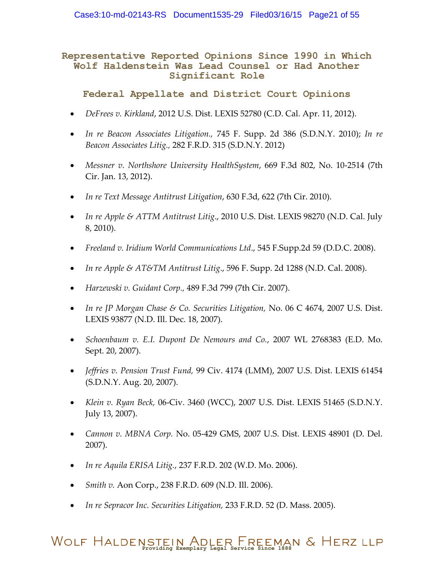#### **Representative Reported Opinions Since 1990 in Which Wolf Haldenstein Was Lead Counsel or Had Another Significant Role**

**Federal Appellate and District Court Opinions**

- *DeFrees v. Kirkland*, 2012 U.S. Dist. LEXIS 52780 (C.D. Cal. Apr. 11, 2012).
- *In re Beacon Associates Litigation.,* 745 F. Supp. 2d 386 (S.D.N.Y. 2010); *In re Beacon Associates Litig.,* 282 F.R.D. 315 (S.D.N.Y. 2012)
- *Messner v. Northshore University HealthSystem*, 669 F.3d 802, No. 10-2514 (7th Cir. Jan. 13, 2012).
- *In re Text Message Antitrust Litigation*, 630 F.3d, 622 (7th Cir. 2010).
- *In re Apple & ATTM Antitrust Litig*., 2010 U.S. Dist. LEXIS 98270 (N.D. Cal. July 8, 2010).
- *Freeland v. Iridium World Communications Ltd*., 545 F.Supp.2d 59 (D.D.C. 2008).
- *In re Apple & AT&TM Antitrust Litig*., 596 F. Supp. 2d 1288 (N.D. Cal. 2008).
- *Harzewski v. Guidant Corp.,* 489 F.3d 799 (7th Cir. 2007).
- *In re JP Morgan Chase & Co. Securities Litigation,* No. 06 C 4674, 2007 U.S. Dist. LEXIS 93877 (N.D. Ill. Dec. 18, 2007).
- *Schoenbaum v. E.I. Dupont De Nemours and Co.*, 2007 WL 2768383 (E.D. Mo. Sept. 20, 2007).
- *Jeffries v. Pension Trust Fund,* 99 Civ. 4174 (LMM), 2007 U.S. Dist. LEXIS 61454 (S.D.N.Y. Aug. 20, 2007).
- *Klein v. Ryan Beck,* 06-Civ. 3460 (WCC), 2007 U.S. Dist. LEXIS 51465 (S.D.N.Y. July 13, 2007).
- *Cannon v. MBNA Corp.* No. 05-429 GMS, 2007 U.S. Dist. LEXIS 48901 (D. Del. 2007).
- *In re Aquila ERISA Litig.*, 237 F.R.D. 202 (W.D. Mo. 2006).
- *Smith v.* Aon Corp., 238 F.R.D. 609 (N.D. Ill. 2006).
- *In re Sepracor Inc. Securities Litigation,* 233 F.R.D. 52 (D. Mass. 2005).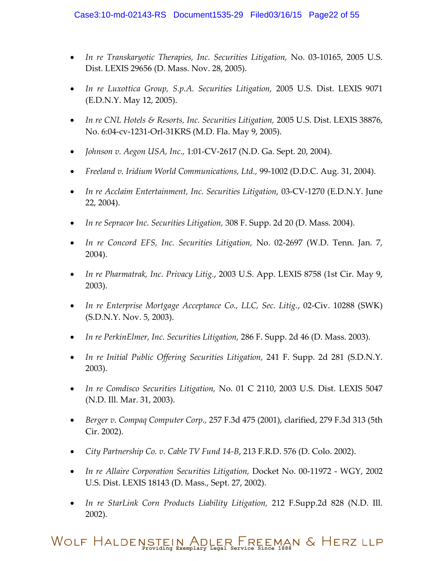- *In re Transkaryotic Therapies, Inc. Securities Litigation,* No. 03-10165, 2005 U.S. Dist. LEXIS 29656 (D. Mass. Nov. 28, 2005).
- *In re Luxottica Group, S.p.A. Securities Litigation,* 2005 U.S. Dist. LEXIS 9071 (E.D.N.Y. May 12, 2005).
- *In re CNL Hotels & Resorts, Inc. Securities Litigation,* 2005 U.S. Dist. LEXIS 38876, No. 6:04-cv-1231-Orl-31KRS (M.D. Fla. May 9, 2005).
- *Johnson v. Aegon USA, Inc.,* 1:01-CV-2617 (N.D. Ga. Sept. 20, 2004).
- *Freeland v. Iridium World Communications, Ltd.,* 99-1002 (D.D.C. Aug. 31, 2004).
- *In re Acclaim Entertainment, Inc. Securities Litigation,* 03-CV-1270 (E.D.N.Y. June 22, 2004).
- *In re Sepracor Inc. Securities Litigation,* 308 F. Supp. 2d 20 (D. Mass. 2004).
- *In re Concord EFS, Inc. Securities Litigation,* No. 02-2697 (W.D. Tenn. Jan. 7, 2004).
- *In re Pharmatrak, Inc. Privacy Litig.*, 2003 U.S. App. LEXIS 8758 (1st Cir. May 9, 2003).
- *In re Enterprise Mortgage Acceptance Co., LLC, Sec. Litig.*, 02-Civ. 10288 (SWK) (S.D.N.Y. Nov. 5, 2003).
- *In re PerkinElmer, Inc. Securities Litigation,* 286 F. Supp. 2d 46 (D. Mass. 2003).
- *In re Initial Public Offering Securities Litigation,* 241 F. Supp. 2d 281 (S.D.N.Y. 2003).
- *In re Comdisco Securities Litigation,* No. 01 C 2110, 2003 U.S. Dist. LEXIS 5047 (N.D. Ill. Mar. 31, 2003).
- *Berger v. Compaq Computer Corp.,* 257 F.3d 475 (2001), clarified, 279 F.3d 313 (5th Cir. 2002).
- *City Partnership Co. v. Cable TV Fund 14-B*, 213 F.R.D. 576 (D. Colo. 2002).
- *In re Allaire Corporation Securities Litigation,* Docket No. 00-11972 WGY, 2002 U.S. Dist. LEXIS 18143 (D. Mass., Sept. 27, 2002).
- *In re StarLink Corn Products Liability Litigation,* 212 F.Supp.2d 828 (N.D. Ill. 2002).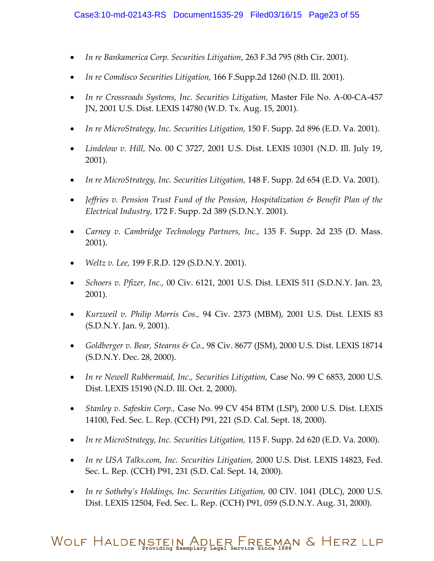- *In re Bankamerica Corp. Securities Litigation*, 263 F.3d 795 (8th Cir. 2001).
- *In re Comdisco Securities Litigation,* 166 F.Supp.2d 1260 (N.D. Ill. 2001).
- *In re Crossroads Systems, Inc. Securities Litigation,* Master File No. A-00-CA-457 JN, 2001 U.S. Dist. LEXIS 14780 (W.D. Tx. Aug. 15, 2001).
- *In re MicroStrategy, Inc. Securities Litigation,* 150 F. Supp. 2d 896 (E.D. Va. 2001).
- *Lindelow v. Hill,* No. 00 C 3727, 2001 U.S. Dist. LEXIS 10301 (N.D. Ill. July 19, 2001).
- *In re MicroStrategy, Inc. Securities Litigation,* 148 F. Supp. 2d 654 (E.D. Va. 2001).
- *Jeffries v. Pension Trust Fund of the Pension, Hospitalization & Benefit Plan of the Electrical Industry,* 172 F. Supp. 2d 389 (S.D.N.Y. 2001).
- *Carney v. Cambridge Technology Partners, Inc.,* 135 F. Supp. 2d 235 (D. Mass. 2001).
- *Weltz v. Lee,* 199 F.R.D. 129 (S.D.N.Y. 2001).
- *Schoers v. Pfizer, Inc.,* 00 Civ. 6121, 2001 U.S. Dist. LEXIS 511 (S.D.N.Y. Jan. 23, 2001).
- *Kurzweil v. Philip Morris Cos.,* 94 Civ. 2373 (MBM), 2001 U.S. Dist. LEXIS 83 (S.D.N.Y. Jan. 9, 2001).
- *Goldberger v. Bear, Stearns & Co.,* 98 Civ. 8677 (JSM), 2000 U.S. Dist. LEXIS 18714 (S.D.N.Y. Dec. 28, 2000).
- *In re Newell Rubbermaid, Inc., Securities Litigation,* Case No. 99 C 6853, 2000 U.S. Dist. LEXIS 15190 (N.D. Ill. Oct. 2, 2000).
- *Stanley v. Safeskin Corp.,* Case No. 99 CV 454 BTM (LSP), 2000 U.S. Dist. LEXIS 14100, Fed. Sec. L. Rep. (CCH) P91, 221 (S.D. Cal. Sept. 18, 2000).
- *In re MicroStrategy, Inc. Securities Litigation,* 115 F. Supp. 2d 620 (E.D. Va. 2000).
- *In re USA Talks.com, Inc. Securities Litigation,* 2000 U.S. Dist. LEXIS 14823, Fed. Sec. L. Rep. (CCH) P91, 231 (S.D. Cal. Sept. 14, 2000).
- *In re Sotheby's Holdings, Inc. Securities Litigation,* 00 CIV. 1041 (DLC), 2000 U.S. Dist. LEXIS 12504, Fed. Sec. L. Rep. (CCH) P91, 059 (S.D.N.Y. Aug. 31, 2000).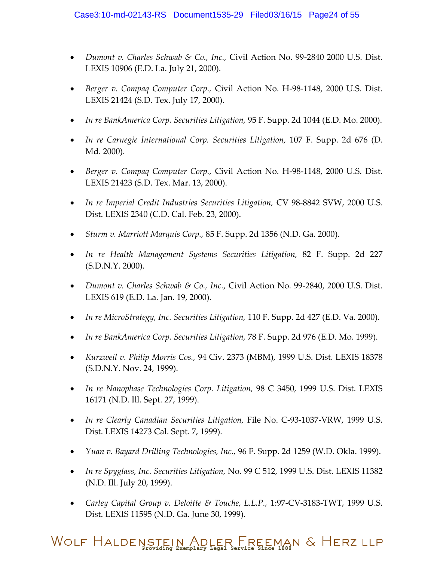- *Dumont v. Charles Schwab & Co., Inc.,* Civil Action No. 99-2840 2000 U.S. Dist. LEXIS 10906 (E.D. La. July 21, 2000).
- *Berger v. Compaq Computer Corp.,* Civil Action No. H-98-1148, 2000 U.S. Dist. LEXIS 21424 (S.D. Tex. July 17, 2000).
- *In re BankAmerica Corp. Securities Litigation,* 95 F. Supp. 2d 1044 (E.D. Mo. 2000).
- *In re Carnegie International Corp. Securities Litigation,* 107 F. Supp. 2d 676 (D. Md. 2000).
- *Berger v. Compaq Computer Corp.,* Civil Action No. H-98-1148, 2000 U.S. Dist. LEXIS 21423 (S.D. Tex. Mar. 13, 2000).
- In re Imperial Credit Industries Securities Litigation, CV 98-8842 SVW, 2000 U.S. Dist. LEXIS 2340 (C.D. Cal. Feb. 23, 2000).
- *Sturm v. Marriott Marquis Corp.,* 85 F. Supp. 2d 1356 (N.D. Ga. 2000).
- *In re Health Management Systems Securities Litigation,* 82 F. Supp. 2d 227 (S.D.N.Y. 2000).
- *Dumont v. Charles Schwab & Co., Inc.*, Civil Action No. 99-2840, 2000 U.S. Dist. LEXIS 619 (E.D. La. Jan. 19, 2000).
- *In re MicroStrategy, Inc. Securities Litigation,* 110 F. Supp. 2d 427 (E.D. Va. 2000).
- *In re BankAmerica Corp. Securities Litigation,* 78 F. Supp. 2d 976 (E.D. Mo. 1999).
- *Kurzweil v. Philip Morris Cos.,* 94 Civ. 2373 (MBM), 1999 U.S. Dist. LEXIS 18378 (S.D.N.Y. Nov. 24, 1999).
- *In re Nanophase Technologies Corp. Litigation,* 98 C 3450, 1999 U.S. Dist. LEXIS 16171 (N.D. Ill. Sept. 27, 1999).
- In re Clearly Canadian Securities Litigation, File No. C-93-1037-VRW, 1999 U.S. Dist. LEXIS 14273 Cal. Sept. 7, 1999).
- *Yuan v. Bayard Drilling Technologies, Inc.,* 96 F. Supp. 2d 1259 (W.D. Okla. 1999).
- *In re Spyglass, Inc. Securities Litigation,* No. 99 C 512, 1999 U.S. Dist. LEXIS 11382 (N.D. Ill. July 20, 1999).
- *Carley Capital Group v. Deloitte & Touche, L.L.P.,* 1:97-CV-3183-TWT, 1999 U.S. Dist. LEXIS 11595 (N.D. Ga. June 30, 1999).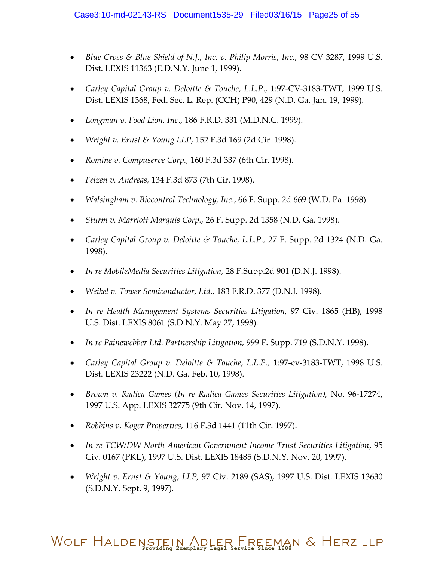- *Blue Cross & Blue Shield of N.J., Inc. v. Philip Morris, Inc.,* 98 CV 3287, 1999 U.S. Dist. LEXIS 11363 (E.D.N.Y. June 1, 1999).
- *Carley Capital Group v. Deloitte & Touche, L.L.P*., 1:97-CV-3183-TWT, 1999 U.S. Dist. LEXIS 1368, Fed. Sec. L. Rep. (CCH) P90, 429 (N.D. Ga. Jan. 19, 1999).
- *Longman v. Food Lion, Inc*., 186 F.R.D. 331 (M.D.N.C. 1999).
- *Wright v. Ernst & Young LLP,* 152 F.3d 169 (2d Cir. 1998).
- *Romine v. Compuserve Corp.,* 160 F.3d 337 (6th Cir. 1998).
- *Felzen v. Andreas,* 134 F.3d 873 (7th Cir. 1998).
- *Walsingham v. Biocontrol Technology, Inc*., 66 F. Supp. 2d 669 (W.D. Pa. 1998).
- *Sturm v. Marriott Marquis Corp.,* 26 F. Supp. 2d 1358 (N.D. Ga. 1998).
- *Carley Capital Group v. Deloitte & Touche, L.L.P.,* 27 F. Supp. 2d 1324 (N.D. Ga. 1998).
- *In re MobileMedia Securities Litigation,* 28 F.Supp.2d 901 (D.N.J. 1998).
- *Weikel v. Tower Semiconductor, Ltd.,* 183 F.R.D. 377 (D.N.J. 1998).
- In re Health Management Systems Securities Litigation, 97 Civ. 1865 (HB), 1998 U.S. Dist. LEXIS 8061 (S.D.N.Y. May 27, 1998).
- *In re Painewebber Ltd. Partnership Litigation,* 999 F. Supp. 719 (S.D.N.Y. 1998).
- *Carley Capital Group v. Deloitte & Touche, L.L.P.,* 1:97-cv-3183-TWT, 1998 U.S. Dist. LEXIS 23222 (N.D. Ga. Feb. 10, 1998).
- *Brown v. Radica Games (In re Radica Games Securities Litigation),* No. 96-17274, 1997 U.S. App. LEXIS 32775 (9th Cir. Nov. 14, 1997).
- *Robbins v. Koger Properties,* 116 F.3d 1441 (11th Cir. 1997).
- *In re TCW/DW North American Government Income Trust Securities Litigation*, 95 Civ. 0167 (PKL), 1997 U.S. Dist. LEXIS 18485 (S.D.N.Y. Nov. 20, 1997).
- *Wright v. Ernst & Young, LLP,* 97 Civ. 2189 (SAS), 1997 U.S. Dist. LEXIS 13630 (S.D.N.Y. Sept. 9, 1997).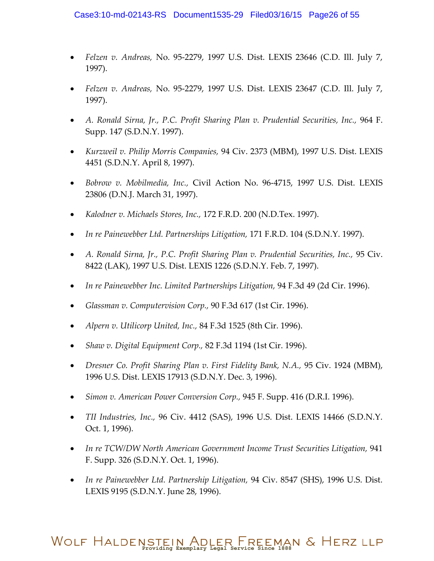- *Felzen v. Andreas,* No. 95-2279, 1997 U.S. Dist. LEXIS 23646 (C.D. Ill. July 7, 1997).
- *Felzen v. Andreas,* No. 95-2279, 1997 U.S. Dist. LEXIS 23647 (C.D. Ill. July 7, 1997).
- *A. Ronald Sirna, Jr., P.C. Profit Sharing Plan v. Prudential Securities, Inc.,* 964 F. Supp. 147 (S.D.N.Y. 1997).
- *Kurzweil v. Philip Morris Companies,* 94 Civ. 2373 (MBM), 1997 U.S. Dist. LEXIS 4451 (S.D.N.Y. April 8, 1997).
- *Bobrow v. Mobilmedia, Inc.,* Civil Action No. 96-4715, 1997 U.S. Dist. LEXIS 23806 (D.N.J. March 31, 1997).
- *Kalodner v. Michaels Stores, Inc.,* 172 F.R.D. 200 (N.D.Tex. 1997).
- *In re Painewebber Ltd. Partnerships Litigation,* 171 F.R.D. 104 (S.D.N.Y. 1997).
- *A. Ronald Sirna, Jr., P.C. Profit Sharing Plan v. Prudential Securities, Inc.,* 95 Civ. 8422 (LAK), 1997 U.S. Dist. LEXIS 1226 (S.D.N.Y. Feb. 7, 1997).
- *In re Painewebber Inc. Limited Partnerships Litigation,* 94 F.3d 49 (2d Cir. 1996).
- *Glassman v. Computervision Corp.,* 90 F.3d 617 (1st Cir. 1996).
- *Alpern v. Utilicorp United, Inc.,* 84 F.3d 1525 (8th Cir. 1996).
- *Shaw v. Digital Equipment Corp.,* 82 F.3d 1194 (1st Cir. 1996).
- *Dresner Co. Profit Sharing Plan v. First Fidelity Bank, N.A.,* 95 Civ. 1924 (MBM), 1996 U.S. Dist. LEXIS 17913 (S.D.N.Y. Dec. 3, 1996).
- *Simon v. American Power Conversion Corp.,* 945 F. Supp. 416 (D.R.I. 1996).
- *TII Industries, Inc.,* 96 Civ. 4412 (SAS), 1996 U.S. Dist. LEXIS 14466 (S.D.N.Y. Oct. 1, 1996).
- *In re TCW/DW North American Government Income Trust Securities Litigation,* 941 F. Supp. 326 (S.D.N.Y. Oct. 1, 1996).
- *In re Painewebber Ltd. Partnership Litigation,* 94 Civ. 8547 (SHS), 1996 U.S. Dist. LEXIS 9195 (S.D.N.Y. June 28, 1996).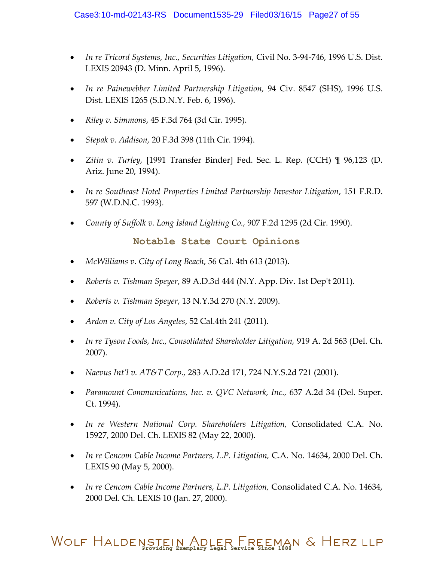- *In re Tricord Systems, Inc., Securities Litigation,* Civil No. 3-94-746, 1996 U.S. Dist. LEXIS 20943 (D. Minn. April 5, 1996).
- *In re Painewebber Limited Partnership Litigation,* 94 Civ. 8547 (SHS), 1996 U.S. Dist. LEXIS 1265 (S.D.N.Y. Feb. 6, 1996).
- *Riley v. Simmons*, 45 F.3d 764 (3d Cir. 1995).
- *Stepak v. Addison,* 20 F.3d 398 (11th Cir. 1994).
- *Zitin v. Turley,* [1991 Transfer Binder] Fed. Sec. L. Rep. (CCH) ¶ 96,123 (D. Ariz. June 20, 1994).
- *In re Southeast Hotel Properties Limited Partnership Investor Litigation*, 151 F.R.D. 597 (W.D.N.C. 1993).
- *County of Suffolk v. Long Island Lighting Co.,* 907 F.2d 1295 (2d Cir. 1990).

#### **Notable State Court Opinions**

- *McWilliams v. City of Long Beach*, 56 Cal. 4th 613 (2013).
- *Roberts v. Tishman Speyer*, 89 A.D.3d 444 (N.Y. App. Div. 1st Dep't 2011).
- *Roberts v. Tishman Speyer*, 13 N.Y.3d 270 (N.Y. 2009).
- *Ardon v. City of Los Angeles*, 52 Cal.4th 241 (2011).
- *In re Tyson Foods, Inc., Consolidated Shareholder Litigation,* 919 A. 2d 563 (Del. Ch. 2007).
- *Naevus Int'l v. AT&T Corp.,* 283 A.D.2d 171, 724 N.Y.S.2d 721 (2001).
- *Paramount Communications, Inc. v. QVC Network, Inc.,* 637 A.2d 34 (Del. Super. Ct. 1994).
- *In re Western National Corp. Shareholders Litigation,* Consolidated C.A. No. 15927, 2000 Del. Ch. LEXIS 82 (May 22, 2000).
- *In re Cencom Cable Income Partners, L.P. Litigation,* C.A. No. 14634, 2000 Del. Ch. LEXIS 90 (May 5, 2000).
- In re Cencom Cable Income Partners, L.P. Litigation, Consolidated C.A. No. 14634, 2000 Del. Ch. LEXIS 10 (Jan. 27, 2000).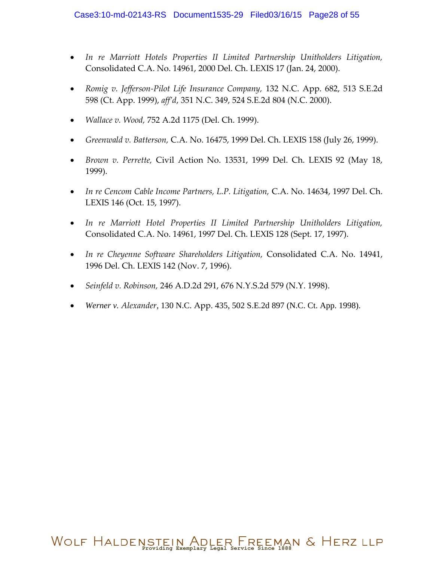- *In re Marriott Hotels Properties II Limited Partnership Unitholders Litigation,*  Consolidated C.A. No. 14961, 2000 Del. Ch. LEXIS 17 (Jan. 24, 2000).
- *Romig v. Jefferson-Pilot Life Insurance Company,* 132 N.C. App. 682, 513 S.E.2d 598 (Ct. App. 1999), *aff'd*, 351 N.C. 349, 524 S.E.2d 804 (N.C. 2000).
- *Wallace v. Wood,* 752 A.2d 1175 (Del. Ch. 1999).
- *Greenwald v. Batterson,* C.A. No. 16475, 1999 Del. Ch. LEXIS 158 (July 26, 1999).
- *Brown v. Perrette,* Civil Action No. 13531, 1999 Del. Ch. LEXIS 92 (May 18, 1999).
- *In re Cencom Cable Income Partners, L.P. Litigation,* C.A. No. 14634, 1997 Del. Ch. LEXIS 146 (Oct. 15, 1997).
- *In re Marriott Hotel Properties II Limited Partnership Unitholders Litigation,* Consolidated C.A. No. 14961, 1997 Del. Ch. LEXIS 128 (Sept. 17, 1997).
- *In re Cheyenne Software Shareholders Litigation,* Consolidated C.A. No. 14941, 1996 Del. Ch. LEXIS 142 (Nov. 7, 1996).
- *Seinfeld v. Robinson,* 246 A.D.2d 291, 676 N.Y.S.2d 579 (N.Y. 1998).
- *Werner v. Alexander,* 130 N.C. App. 435, 502 S.E.2d 897 (N.C. Ct. App. 1998).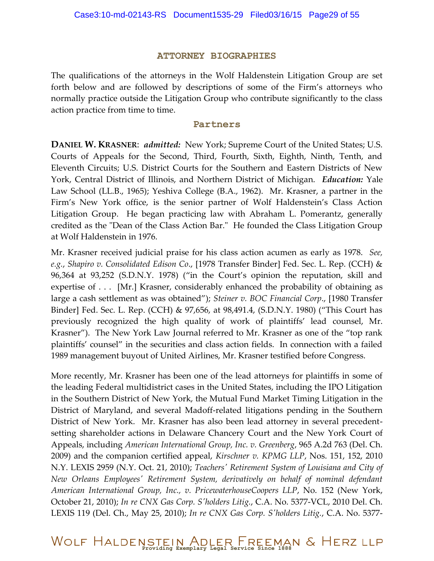#### **ATTORNEY BIOGRAPHIES**

The qualifications of the attorneys in the Wolf Haldenstein Litigation Group are set forth below and are followed by descriptions of some of the Firm's attorneys who normally practice outside the Litigation Group who contribute significantly to the class action practice from time to time.

#### **Partners**

**DANIEL W. KRASNER**: *admitted:* New York; Supreme Court of the United States; U.S. Courts of Appeals for the Second, Third, Fourth, Sixth, Eighth, Ninth, Tenth, and Eleventh Circuits; U.S. District Courts for the Southern and Eastern Districts of New York, Central District of Illinois, and Northern District of Michigan. *Education:* Yale Law School (LL.B., 1965); Yeshiva College (B.A., 1962). Mr. Krasner, a partner in the Firm's New York office, is the senior partner of Wolf Haldenstein's Class Action Litigation Group. He began practicing law with Abraham L. Pomerantz, generally credited as the "Dean of the Class Action Bar." He founded the Class Litigation Group at Wolf Haldenstein in 1976.

Mr. Krasner received judicial praise for his class action acumen as early as 1978. *See, e.g.*, *Shapiro v. Consolidated Edison Co*., [1978 Transfer Binder] Fed. Sec. L. Rep. (CCH) & 96,364 at 93,252 (S.D.N.Y. 1978) ("in the Court's opinion the reputation, skill and expertise of . . . [Mr.] Krasner, considerably enhanced the probability of obtaining as large a cash settlement as was obtained"); *Steiner v. BOC Financial Corp*., [1980 Transfer Binder] Fed. Sec. L. Rep. (CCH) & 97,656, at 98,491.4, (S.D.N.Y. 1980) ("This Court has previously recognized the high quality of work of plaintiffs' lead counsel, Mr. Krasner"). The New York Law Journal referred to Mr. Krasner as one of the "top rank plaintiffs' counsel" in the securities and class action fields. In connection with a failed 1989 management buyout of United Airlines, Mr. Krasner testified before Congress.

More recently, Mr. Krasner has been one of the lead attorneys for plaintiffs in some of the leading Federal multidistrict cases in the United States, including the IPO Litigation in the Southern District of New York, the Mutual Fund Market Timing Litigation in the District of Maryland, and several Madoff-related litigations pending in the Southern District of New York. Mr. Krasner has also been lead attorney in several precedentsetting shareholder actions in Delaware Chancery Court and the New York Court of Appeals, including *American International Group, Inc. v. Greenberg*, 965 A.2d 763 (Del. Ch. 2009) and the companion certified appeal, *Kirschner v. KPMG LLP*, Nos. 151, 152, 2010 N.Y. LEXIS 2959 (N.Y. Oct. 21, 2010); *Teachers' Retirement System of Louisiana and City of New Orleans Employees' Retirement System, derivatively on behalf of nominal defendant American International Group, Inc., v. PricewaterhouseCoopers LLP*, No. 152 (New York, October 21, 2010); *In re CNX Gas Corp. S'holders Litig.*, C.A. No. 5377-VCL, 2010 Del. Ch. LEXIS 119 (Del. Ch., May 25, 2010); *In re CNX Gas Corp. S'holders Litig.*, C.A. No. 5377-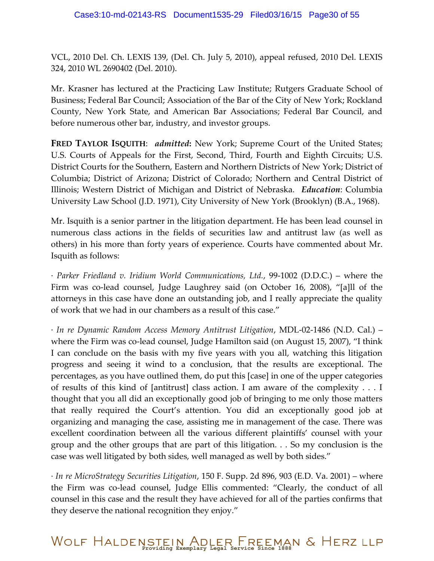VCL, 2010 Del. Ch. LEXIS 139, (Del. Ch. July 5, 2010), appeal refused, 2010 Del. LEXIS 324, 2010 WL 2690402 (Del. 2010).

Mr. Krasner has lectured at the Practicing Law Institute; Rutgers Graduate School of Business; Federal Bar Council; Association of the Bar of the City of New York; Rockland County, New York State, and American Bar Associations; Federal Bar Council, and before numerous other bar, industry, and investor groups.

**FRED TAYLOR ISQUITH:** *admitted*: New York; Supreme Court of the United States; U.S. Courts of Appeals for the First, Second, Third, Fourth and Eighth Circuits; U.S. District Courts for the Southern, Eastern and Northern Districts of New York; District of Columbia; District of Arizona; District of Colorado; Northern and Central District of Illinois; Western District of Michigan and District of Nebraska. *Education*: Columbia University Law School (J.D. 1971), City University of New York (Brooklyn) (B.A., 1968).

Mr. Isquith is a senior partner in the litigation department. He has been lead counsel in numerous class actions in the fields of securities law and antitrust law (as well as others) in his more than forty years of experience. Courts have commented about Mr. Isquith as follows:

· *Parker Friedland v. Iridium World Communications, Ltd.*, 99-1002 (D.D.C.) – where the Firm was co-lead counsel, Judge Laughrey said (on October 16, 2008), "[a]ll of the attorneys in this case have done an outstanding job, and I really appreciate the quality of work that we had in our chambers as a result of this case."

· *In re Dynamic Random Access Memory Antitrust Litigation*, MDL-02-1486 (N.D. Cal.) – where the Firm was co-lead counsel, Judge Hamilton said (on August 15, 2007), "I think I can conclude on the basis with my five years with you all, watching this litigation progress and seeing it wind to a conclusion, that the results are exceptional. The percentages, as you have outlined them, do put this [case] in one of the upper categories of results of this kind of [antitrust] class action. I am aware of the complexity . . . I thought that you all did an exceptionally good job of bringing to me only those matters that really required the Court's attention. You did an exceptionally good job at organizing and managing the case, assisting me in management of the case. There was excellent coordination between all the various different plaintiffs' counsel with your group and the other groups that are part of this litigation. . . So my conclusion is the case was well litigated by both sides, well managed as well by both sides."

· *In re MicroStrategy Securities Litigation*, 150 F. Supp. 2d 896, 903 (E.D. Va. 2001) – where the Firm was co-lead counsel, Judge Ellis commented: "Clearly, the conduct of all counsel in this case and the result they have achieved for all of the parties confirms that they deserve the national recognition they enjoy."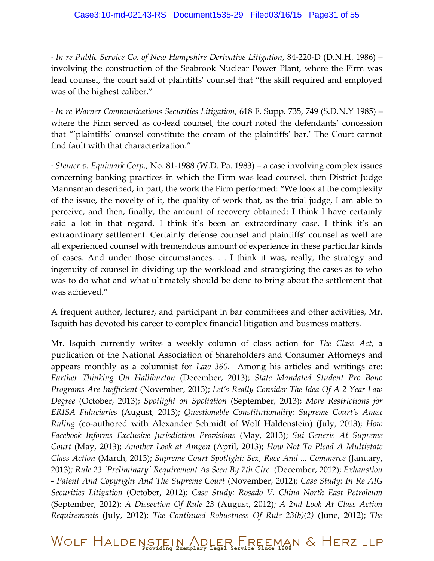· *In re Public Service Co. of New Hampshire Derivative Litigation*, 84-220-D (D.N.H. 1986) – involving the construction of the Seabrook Nuclear Power Plant, where the Firm was lead counsel, the court said of plaintiffs' counsel that "the skill required and employed was of the highest caliber."

· *In re Warner Communications Securities Litigation*, 618 F. Supp. 735, 749 (S.D.N.Y 1985) – where the Firm served as co-lead counsel, the court noted the defendants' concession that "'plaintiffs' counsel constitute the cream of the plaintiffs' bar.' The Court cannot find fault with that characterization."

· *Steiner v. Equimark Corp*., No. 81-1988 (W.D. Pa. 1983) – a case involving complex issues concerning banking practices in which the Firm was lead counsel, then District Judge Mannsman described, in part, the work the Firm performed: "We look at the complexity of the issue, the novelty of it, the quality of work that, as the trial judge, I am able to perceive, and then, finally, the amount of recovery obtained: I think I have certainly said a lot in that regard. I think it's been an extraordinary case. I think it's an extraordinary settlement. Certainly defense counsel and plaintiffs' counsel as well are all experienced counsel with tremendous amount of experience in these particular kinds of cases. And under those circumstances. . . I think it was, really, the strategy and ingenuity of counsel in dividing up the workload and strategizing the cases as to who was to do what and what ultimately should be done to bring about the settlement that was achieved."

A frequent author, lecturer, and participant in bar committees and other activities, Mr. Isquith has devoted his career to complex financial litigation and business matters.

Mr. Isquith currently writes a weekly column of class action for *The Class Act*, a publication of the National Association of Shareholders and Consumer Attorneys and appears monthly as a columnist for *Law 360*. Among his articles and writings are: *Further Thinking On Halliburton* (December, 2013); *State Mandated Student Pro Bono Programs Are Inefficient* (November, 2013); *Let's Really Consider The Idea Of A 2 Year Law Degree* (October, 2013); *Spotlight on Spoliation* (September, 2013); *More Restrictions for ERISA Fiduciaries* (August, 2013); *Questionable Constitutionality: Supreme Court's Amex Ruling* (co-authored with Alexander Schmidt of Wolf Haldenstein) (July, 2013); *How Facebook Informs Exclusive Jurisdiction Provisions* (May, 2013); *Sui Generis At Supreme Court* (May, 2013); *Another Look at Amgen* (April, 2013); *How Not To Plead A Multistate Class Action* (March, 2013); *Supreme Court Spotlight: Sex, Race And ... Commerce* (January, 2013)*; Rule 23 'Preliminary' Requirement As Seen By 7th Circ*. (December, 2012); *Exhaustion - Patent And Copyright And The Supreme Court* (November, 2012)*; Case Study: In Re AIG Securities Litigation* (October, 2012)*; Case Study: Rosado V. China North East Petroleum* (September, 2012); *A Dissection Of Rule 23* (August, 2012); *A 2nd Look At Class Action Requirements* (July, 2012); *The Continued Robustness Of Rule 23(b)(2)* (June, 2012); *The*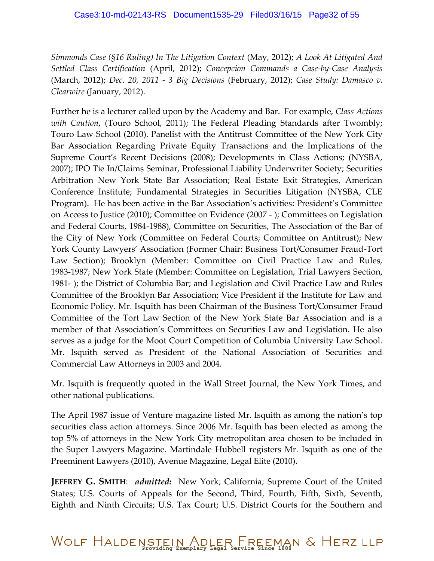*Simmonds Case (§16 Ruling) In The Litigation Context* (May, 2012); *A Look At Litigated And Settled Class Certification* (April, 2012); *Concepcion Commands a Case-by-Case Analysis* (March, 2012); *Dec. 20, 2011 - 3 Big Decisions* (February, 2012); *Case Study: Damasco v. Clearwire* (January, 2012).

Further he is a lecturer called upon by the Academy and Bar. For example, *Class Actions with Caution*, (Touro School, 2011); The Federal Pleading Standards after Twombly; Touro Law School (2010). Panelist with the Antitrust Committee of the New York City Bar Association Regarding Private Equity Transactions and the Implications of the Supreme Court's Recent Decisions (2008); Developments in Class Actions; (NYSBA, 2007); IPO Tie In/Claims Seminar, Professional Liability Underwriter Society; Securities Arbitration New York State Bar Association; Real Estate Exit Strategies, American Conference Institute; Fundamental Strategies in Securities Litigation (NYSBA, CLE Program). He has been active in the Bar Association's activities: President's Committee on Access to Justice (2010); Committee on Evidence (2007 ‐ ); Committees on Legislation and Federal Courts, 1984‐1988), Committee on Securities, The Association of the Bar of the City of New York (Committee on Federal Courts; Committee on Antitrust); New York County Lawyers' Association (Former Chair: Business Tort/Consumer Fraud‐Tort Law Section); Brooklyn (Member: Committee on Civil Practice Law and Rules, 1983‐1987; New York State (Member: Committee on Legislation, Trial Lawyers Section, 1981‐ ); the District of Columbia Bar; and Legislation and Civil Practice Law and Rules Committee of the Brooklyn Bar Association; Vice President if the Institute for Law and Economic Policy. Mr. Isquith has been Chairman of the Business Tort/Consumer Fraud Committee of the Tort Law Section of the New York State Bar Association and is a member of that Association's Committees on Securities Law and Legislation. He also serves as a judge for the Moot Court Competition of Columbia University Law School. Mr. Isquith served as President of the National Association of Securities and Commercial Law Attorneys in 2003 and 2004.

Mr. Isquith is frequently quoted in the Wall Street Journal, the New York Times, and other national publications.

The April 1987 issue of Venture magazine listed Mr. Isquith as among the nation's top securities class action attorneys. Since 2006 Mr. Isquith has been elected as among the top 5% of attorneys in the New York City metropolitan area chosen to be included in the Super Lawyers Magazine. Martindale Hubbell registers Mr. Isquith as one of the Preeminent Lawyers (2010), Avenue Magazine, Legal Elite (2010).

**JEFFREY G. SMITH**: *admitted:* New York; California; Supreme Court of the United States; U.S. Courts of Appeals for the Second, Third, Fourth, Fifth, Sixth, Seventh, Eighth and Ninth Circuits; U.S. Tax Court; U.S. District Courts for the Southern and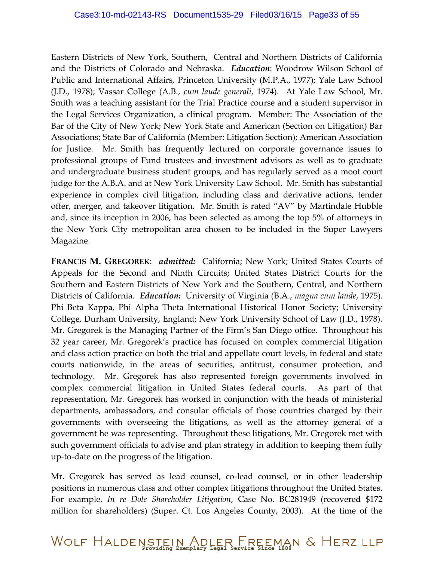Eastern Districts of New York, Southern, Central and Northern Districts of California and the Districts of Colorado and Nebraska. *Education*: Woodrow Wilson School of Public and International Affairs, Princeton University (M.P.A., 1977); Yale Law School (J.D., 1978); Vassar College (A.B., *cum laude generali*, 1974). At Yale Law School, Mr. Smith was a teaching assistant for the Trial Practice course and a student supervisor in the Legal Services Organization, a clinical program. Member: The Association of the Bar of the City of New York; New York State and American (Section on Litigation) Bar Associations; State Bar of California (Member: Litigation Section); American Association for Justice. Mr. Smith has frequently lectured on corporate governance issues to professional groups of Fund trustees and investment advisors as well as to graduate and undergraduate business student groups, and has regularly served as a moot court judge for the A.B.A. and at New York University Law School. Mr. Smith has substantial experience in complex civil litigation, including class and derivative actions, tender offer, merger, and takeover litigation. Mr. Smith is rated "AV" by Martindale Hubble and, since its inception in 2006, has been selected as among the top 5% of attorneys in the New York City metropolitan area chosen to be included in the Super Lawyers Magazine.

**FRANCIS M. GREGOREK**: *admitted:* California; New York; United States Courts of Appeals for the Second and Ninth Circuits; United States District Courts for the Southern and Eastern Districts of New York and the Southern, Central, and Northern Districts of California. *Education:* University of Virginia (B.A., *magna cum laude*, 1975). Phi Beta Kappa, Phi Alpha Theta International Historical Honor Society; University College, Durham University, England; New York University School of Law (J.D., 1978). Mr. Gregorek is the Managing Partner of the Firm's San Diego office. Throughout his 32 year career, Mr. Gregorek's practice has focused on complex commercial litigation and class action practice on both the trial and appellate court levels, in federal and state courts nationwide, in the areas of securities, antitrust, consumer protection, and technology. Mr. Gregorek has also represented foreign governments involved in complex commercial litigation in United States federal courts. As part of that representation, Mr. Gregorek has worked in conjunction with the heads of ministerial departments, ambassadors, and consular officials of those countries charged by their governments with overseeing the litigations, as well as the attorney general of a government he was representing. Throughout these litigations, Mr. Gregorek met with such government officials to advise and plan strategy in addition to keeping them fully up-to-date on the progress of the litigation.

Mr. Gregorek has served as lead counsel, co-lead counsel, or in other leadership positions in numerous class and other complex litigations throughout the United States. For example, *In re Dole Shareholder Litigation*, Case No. BC281949 (recovered \$172 million for shareholders) (Super. Ct. Los Angeles County, 2003). At the time of the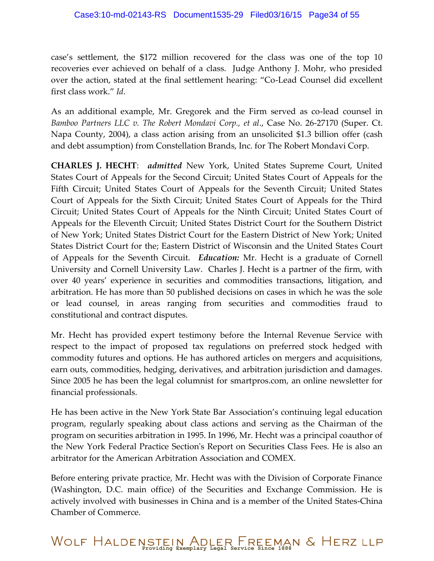case's settlement, the \$172 million recovered for the class was one of the top 10 recoveries ever achieved on behalf of a class. Judge Anthony J. Mohr, who presided over the action, stated at the final settlement hearing: "Co-Lead Counsel did excellent first class work." *Id*.

As an additional example, Mr. Gregorek and the Firm served as co-lead counsel in *Bamboo Partners LLC v. The Robert Mondavi Corp., et al*., Case No. 26-27170 (Super. Ct. Napa County, 2004), a class action arising from an unsolicited \$1.3 billion offer (cash and debt assumption) from Constellation Brands, Inc. for The Robert Mondavi Corp.

**CHARLES J. HECHT**: *admitted* New York, United States Supreme Court, United States Court of Appeals for the Second Circuit; United States Court of Appeals for the Fifth Circuit; United States Court of Appeals for the Seventh Circuit; United States Court of Appeals for the Sixth Circuit; United States Court of Appeals for the Third Circuit; United States Court of Appeals for the Ninth Circuit; United States Court of Appeals for the Eleventh Circuit; United States District Court for the Southern District of New York; United States District Court for the Eastern District of New York; United States District Court for the; Eastern District of Wisconsin and the United States Court of Appeals for the Seventh Circuit. *Education:* Mr. Hecht is a graduate of Cornell University and Cornell University Law. Charles J. Hecht is a partner of the firm, with over 40 years' experience in securities and commodities transactions, litigation, and arbitration. He has more than 50 published decisions on cases in which he was the sole or lead counsel, in areas ranging from securities and commodities fraud to constitutional and contract disputes.

Mr. Hecht has provided expert testimony before the Internal Revenue Service with respect to the impact of proposed tax regulations on preferred stock hedged with commodity futures and options. He has authored articles on mergers and acquisitions, earn outs, commodities, hedging, derivatives, and arbitration jurisdiction and damages. Since 2005 he has been the legal columnist for smartpros.com, an online newsletter for financial professionals.

He has been active in the New York State Bar Association's continuing legal education program, regularly speaking about class actions and serving as the Chairman of the program on securities arbitration in 1995. In 1996, Mr. Hecht was a principal coauthor of the New York Federal Practice Section's Report on Securities Class Fees. He is also an arbitrator for the American Arbitration Association and COMEX.

Before entering private practice, Mr. Hecht was with the Division of Corporate Finance (Washington, D.C. main office) of the Securities and Exchange Commission. He is actively involved with businesses in China and is a member of the United States-China Chamber of Commerce.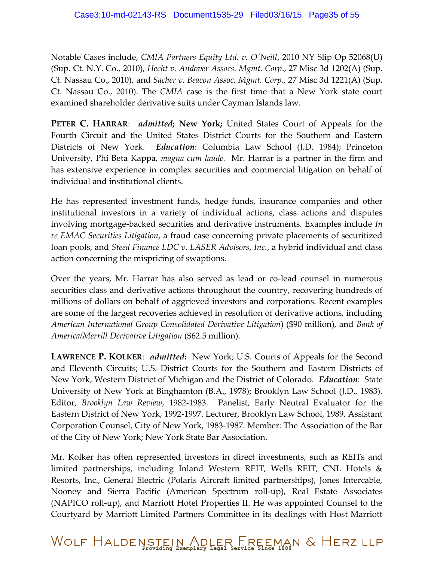Notable Cases include, *CMIA Partners Equity Ltd. v. O'Neill*, 2010 NY Slip Op 52068(U) (Sup. Ct. N.Y. Co., 2010), *Hecht v. Andover Assocs. Mgmt. Corp*., 27 Misc 3d 1202(A) (Sup. Ct. Nassau Co., 2010), and *Sacher v. Beacon Assoc. Mgmt. Corp.,* 27 Misc 3d 1221(A) (Sup. Ct. Nassau Co., 2010). The *CMIA* case is the first time that a New York state court examined shareholder derivative suits under Cayman Islands law.

**PETER C. HARRAR**: *admitted***; New York;** United States Court of Appeals for the Fourth Circuit and the United States District Courts for the Southern and Eastern Districts of New York. *Education*: Columbia Law School (J.D. 1984); Princeton University, Phi Beta Kappa, *magna cum laude.* Mr. Harrar is a partner in the firm and has extensive experience in complex securities and commercial litigation on behalf of individual and institutional clients.

He has represented investment funds, hedge funds, insurance companies and other institutional investors in a variety of individual actions, class actions and disputes involving mortgage-backed securities and derivative instruments. Examples include *In re EMAC Securities Litigation*, a fraud case concerning private placements of securitized loan pools, and *Steed Finance LDC v. LASER Advisors, Inc.*, a hybrid individual and class action concerning the mispricing of swaptions.

Over the years, Mr. Harrar has also served as lead or co-lead counsel in numerous securities class and derivative actions throughout the country, recovering hundreds of millions of dollars on behalf of aggrieved investors and corporations. Recent examples are some of the largest recoveries achieved in resolution of derivative actions, including *American International Group Consolidated Derivative Litigation*) (\$90 million), and *Bank of America/Merrill Derivative Litigation* (\$62.5 million).

**LAWRENCE P. KOLKER**: *admitted***:** New York; U.S. Courts of Appeals for the Second and Eleventh Circuits; U.S. District Courts for the Southern and Eastern Districts of New York, Western District of Michigan and the District of Colorado. *Education*: State University of New York at Binghamton (B.A., 1978); Brooklyn Law School (J.D., 1983). Editor, *Brooklyn Law Review*, 1982-1983. Panelist, Early Neutral Evaluator for the Eastern District of New York, 1992-1997. Lecturer, Brooklyn Law School, 1989. Assistant Corporation Counsel, City of New York, 1983-1987. Member: The Association of the Bar of the City of New York; New York State Bar Association.

Mr. Kolker has often represented investors in direct investments, such as REITs and limited partnerships, including Inland Western REIT, Wells REIT, CNL Hotels & Resorts, Inc., General Electric (Polaris Aircraft limited partnerships), Jones Intercable, Nooney and Sierra Pacific (American Spectrum roll-up), Real Estate Associates (NAPICO roll-up), and Marriott Hotel Properties II. He was appointed Counsel to the Courtyard by Marriott Limited Partners Committee in its dealings with Host Marriott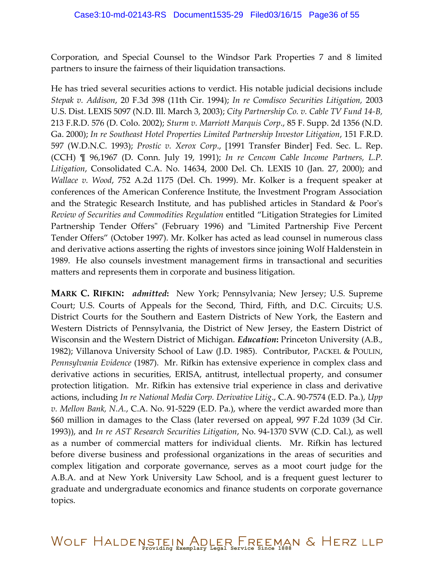Corporation, and Special Counsel to the Windsor Park Properties 7 and 8 limited partners to insure the fairness of their liquidation transactions.

He has tried several securities actions to verdict. His notable judicial decisions include *Stepak v. Addison*, 20 F.3d 398 (11th Cir. 1994); *In re Comdisco Securities Litigation,* 2003 U.S. Dist. LEXIS 5097 (N.D. Ill. March 3, 2003); *City Partnership Co. v. Cable TV Fund 14-B,*  213 F.R.D. 576 (D. Colo. 2002); *Sturm v. Marriott Marquis Corp*., 85 F. Supp. 2d 1356 (N.D. Ga. 2000); *In re Southeast Hotel Properties Limited Partnership Investor Litigation*, 151 F.R.D. 597 (W.D.N.C. 1993); *Prostic v. Xerox Corp*., [1991 Transfer Binder] Fed. Sec. L. Rep. (CCH) ¶ 96,1967 (D. Conn. July 19, 1991); *In re Cencom Cable Income Partners, L.P. Litigation*, Consolidated C.A. No. 14634, 2000 Del. Ch. LEXIS 10 (Jan. 27, 2000); and *Wallace v. Wood*, 752 A.2d 1175 (Del. Ch. 1999). Mr. Kolker is a frequent speaker at conferences of the American Conference Institute, the Investment Program Association and the Strategic Research Institute, and has published articles in Standard & Poor's *Review of Securities and Commodities Regulation* entitled "Litigation Strategies for Limited Partnership Tender Offers" (February 1996) and "Limited Partnership Five Percent Tender Offers" (October 1997). Mr. Kolker has acted as lead counsel in numerous class and derivative actions asserting the rights of investors since joining Wolf Haldenstein in 1989. He also counsels investment management firms in transactional and securities matters and represents them in corporate and business litigation.

**MARK C. RIFKIN:** *admitted***:** New York; Pennsylvania; New Jersey; U.S. Supreme Court; U.S. Courts of Appeals for the Second, Third, Fifth, and D.C. Circuits; U.S. District Courts for the Southern and Eastern Districts of New York, the Eastern and Western Districts of Pennsylvania, the District of New Jersey, the Eastern District of Wisconsin and the Western District of Michigan. *Education***:** Princeton University (A.B., 1982); Villanova University School of Law (J.D. 1985). Contributor, PACKEL & POULIN, *Pennsylvania Evidence* (1987). Mr. Rifkin has extensive experience in complex class and derivative actions in securities, ERISA, antitrust, intellectual property, and consumer protection litigation. Mr. Rifkin has extensive trial experience in class and derivative actions, including *In re National Media Corp. Derivative Litig*., C.A. 90-7574 (E.D. Pa.), *Upp v. Mellon Bank, N.A.*, C.A. No. 91-5229 (E.D. Pa.), where the verdict awarded more than \$60 million in damages to the Class (later reversed on appeal, 997 F.2d 1039 (3d Cir. 1993)), and *In re AST Research Securities Litigation*, No. 94-1370 SVW (C.D. Cal.), as well as a number of commercial matters for individual clients. Mr. Rifkin has lectured before diverse business and professional organizations in the areas of securities and complex litigation and corporate governance, serves as a moot court judge for the A.B.A. and at New York University Law School, and is a frequent guest lecturer to graduate and undergraduate economics and finance students on corporate governance topics.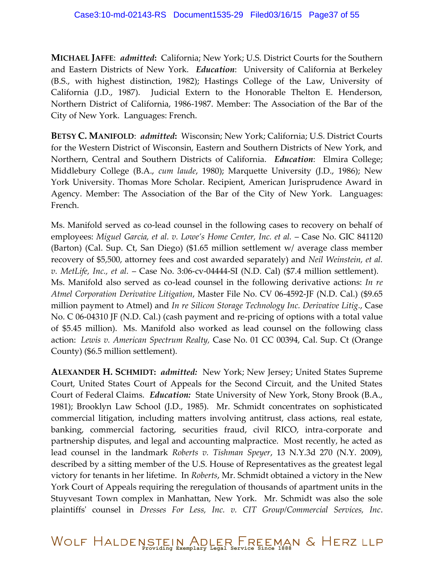**MICHAEL JAFFE**: *admitted***:** California; New York; U.S. District Courts for the Southern and Eastern Districts of New York. *Education*: University of California at Berkeley (B.S., with highest distinction, 1982); Hastings College of the Law, University of California (J.D., 1987). Judicial Extern to the Honorable Thelton E. Henderson, Northern District of California, 1986-1987. Member: The Association of the Bar of the City of New York. Languages: French.

**BETSY C. MANIFOLD**: *admitted***:** Wisconsin; New York; California; U.S. District Courts for the Western District of Wisconsin, Eastern and Southern Districts of New York, and Northern, Central and Southern Districts of California. *Education*: Elmira College; Middlebury College (B.A., *cum laude*, 1980); Marquette University (J.D., 1986); New York University. Thomas More Scholar. Recipient, American Jurisprudence Award in Agency. Member: The Association of the Bar of the City of New York. Languages: French.

Ms. Manifold served as co-lead counsel in the following cases to recovery on behalf of employees: *Miguel Garcia, et al. v. Lowe's Home Center, Inc. et al.* – Case No. GIC 841120 (Barton) (Cal. Sup. Ct, San Diego) (\$1.65 million settlement w/ average class member recovery of \$5,500, attorney fees and cost awarded separately) and *Neil Weinstein, et al. v. MetLife, Inc., et al.* – Case No. 3:06-cv-04444-SI (N.D. Cal) (\$7.4 million settlement). Ms. Manifold also served as co-lead counsel in the following derivative actions: *In re Atmel Corporation Derivative Litigation*, Master File No. CV 06-4592-JF (N.D. Cal.) (\$9.65 million payment to Atmel) and *In re Silicon Storage Technology Inc. Derivative Litig.*, Case No. C 06-04310 JF (N.D. Cal.) (cash payment and re-pricing of options with a total value of \$5.45 million). Ms. Manifold also worked as lead counsel on the following class action: *Lewis v. American Spectrum Realty,* Case No. 01 CC 00394, Cal. Sup. Ct (Orange County) (\$6.5 million settlement).

**ALEXANDER H. SCHMIDT:** *admitted:* New York; New Jersey; United States Supreme Court, United States Court of Appeals for the Second Circuit, and the United States Court of Federal Claims. *Education:* State University of New York, Stony Brook (B.A., 1981); Brooklyn Law School (J.D., 1985). Mr. Schmidt concentrates on sophisticated commercial litigation, including matters involving antitrust, class actions, real estate, banking, commercial factoring, securities fraud, civil RICO, intra-corporate and partnership disputes, and legal and accounting malpractice. Most recently, he acted as lead counsel in the landmark *Roberts v. Tishman Speyer*, 13 N.Y.3d 270 (N.Y. 2009), described by a sitting member of the U.S. House of Representatives as the greatest legal victory for tenants in her lifetime. In *Roberts*, Mr. Schmidt obtained a victory in the New York Court of Appeals requiring the reregulation of thousands of apartment units in the Stuyvesant Town complex in Manhattan, New York. Mr. Schmidt was also the sole plaintiffs' counsel in *Dresses For Less, Inc. v. CIT Group/Commercial Services, Inc*.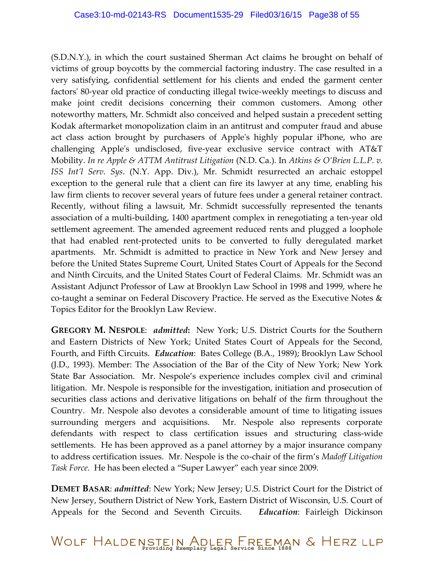(S.D.N.Y.), in which the court sustained Sherman Act claims he brought on behalf of victims of group boycotts by the commercial factoring industry. The case resulted in a very satisfying, confidential settlement for his clients and ended the garment center factors' 80-year old practice of conducting illegal twice-weekly meetings to discuss and make joint credit decisions concerning their common customers. Among other noteworthy matters, Mr. Schmidt also conceived and helped sustain a precedent setting Kodak aftermarket monopolization claim in an antitrust and computer fraud and abuse act class action brought by purchasers of Apple's highly popular iPhone, who are challenging Apple's undisclosed, five-year exclusive service contract with AT&T Mobility. *In re Apple & ATTM Antitrust Litigation* (N.D. Ca.). In *Atkins & O'Brien L.L.P. v. ISS Int'l Serv. Sys*. (N.Y. App. Div.), Mr. Schmidt resurrected an archaic estoppel exception to the general rule that a client can fire its lawyer at any time, enabling his law firm clients to recover several years of future fees under a general retainer contract. Recently, without filing a lawsuit, Mr. Schmidt successfully represented the tenants association of a multi-building, 1400 apartment complex in renegotiating a ten-year old settlement agreement. The amended agreement reduced rents and plugged a loophole that had enabled rent-protected units to be converted to fully deregulated market apartments. Mr. Schmidt is admitted to practice in New York and New Jersey and before the United States Supreme Court, United States Court of Appeals for the Second and Ninth Circuits, and the United States Court of Federal Claims. Mr. Schmidt was an Assistant Adjunct Professor of Law at Brooklyn Law School in 1998 and 1999, where he co-taught a seminar on Federal Discovery Practice. He served as the Executive Notes & Topics Editor for the Brooklyn Law Review.

**GREGORY M. NESPOLE**: *admitted***:** New York; U.S. District Courts for the Southern and Eastern Districts of New York; United States Court of Appeals for the Second, Fourth, and Fifth Circuits. *Education*: Bates College (B.A., 1989); Brooklyn Law School (J.D., 1993). Member: The Association of the Bar of the City of New York; New York State Bar Association. Mr. Nespole's experience includes complex civil and criminal litigation. Mr. Nespole is responsible for the investigation, initiation and prosecution of securities class actions and derivative litigations on behalf of the firm throughout the Country. Mr. Nespole also devotes a considerable amount of time to litigating issues surrounding mergers and acquisitions. Mr. Nespole also represents corporate defendants with respect to class certification issues and structuring class-wide settlements. He has been approved as a panel attorney by a major insurance company to address certification issues. Mr. Nespole is the co-chair of the firm's *Madoff Litigation Task Force.* He has been elected a "Super Lawyer" each year since 2009.

**DEMET BASAR**: *admitted*: New York; New Jersey; U.S. District Court for the District of New Jersey, Southern District of New York, Eastern District of Wisconsin, U.S. Court of Appeals for the Second and Seventh Circuits. *Education*: Fairleigh Dickinson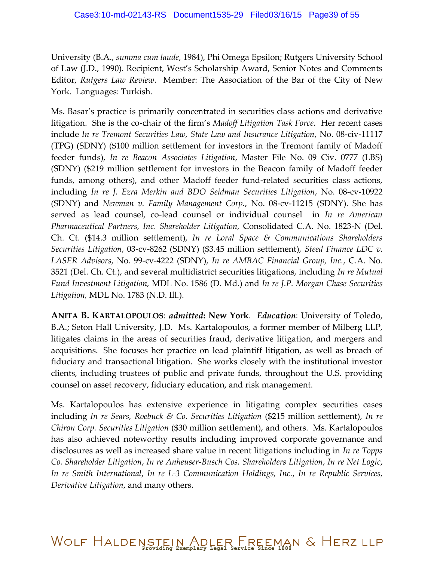University (B.A., *summa cum laude*, 1984), Phi Omega Epsilon; Rutgers University School of Law (J.D., 1990). Recipient, West's Scholarship Award, Senior Notes and Comments Editor, *Rutgers Law Review*. Member: The Association of the Bar of the City of New York. Languages: Turkish.

Ms. Basar's practice is primarily concentrated in securities class actions and derivative litigation. She is the co-chair of the firm's *Madoff Litigation Task Force*. Her recent cases include *In re Tremont Securities Law, State Law and Insurance Litigation*, No. 08-civ-11117 (TPG) (SDNY) (\$100 million settlement for investors in the Tremont family of Madoff feeder funds), *In re Beacon Associates Litigation*, Master File No. 09 Civ. 0777 (LBS) (SDNY) (\$219 million settlement for investors in the Beacon family of Madoff feeder funds, among others), and other Madoff feeder fund-related securities class actions, including *In re J. Ezra Merkin and BDO Seidman Securities Litigation*, No. 08-cv-10922 (SDNY) and *Newman v. Family Management Corp.*, No. 08-cv-11215 (SDNY). She has served as lead counsel, co-lead counsel or individual counsel in *In re American Pharmaceutical Partners, Inc. Shareholder Litigation,* Consolidated C.A. No. 1823-N (Del. Ch. Ct. (\$14.3 million settlement), *In re Loral Space & Communications Shareholders Securities Litigation*, 03-cv-8262 (SDNY) (\$3.45 million settlement), *Steed Finance LDC v. LASER Advisors*, No. 99-cv-4222 (SDNY), *In re AMBAC Financial Group, Inc.*, C.A. No. 3521 (Del. Ch. Ct.), and several multidistrict securities litigations, including *In re Mutual Fund Investment Litigation,* MDL No. 1586 (D. Md.) and *In re J.P. Morgan Chase Securities Litigation,* MDL No. 1783 (N.D. Ill.).

**ANITA B. KARTALOPOULOS**: *admitted***: New York**. *Education*: University of Toledo, B.A.; Seton Hall University, J.D. Ms. Kartalopoulos, a former member of Milberg LLP, litigates claims in the areas of securities fraud, derivative litigation, and mergers and acquisitions. She focuses her practice on lead plaintiff litigation, as well as breach of fiduciary and transactional litigation. She works closely with the institutional investor clients, including trustees of public and private funds, throughout the U.S. providing counsel on asset recovery, fiduciary education, and risk management.

Ms. Kartalopoulos has extensive experience in litigating complex securities cases including *In re Sears, Roebuck & Co. Securities Litigation* (\$215 million settlement), *In re Chiron Corp. Securities Litigation* (\$30 million settlement), and others. Ms. Kartalopoulos has also achieved noteworthy results including improved corporate governance and disclosures as well as increased share value in recent litigations including in *In re Topps Co. Shareholder Litigation*, *In re Anheuser-Busch Cos. Shareholders Litigation*, *In re Net Logic*, *In re Smith International*, *In re L-3 Communication Holdings, Inc.*, *In re Republic Services, Derivative Litigation*, and many others.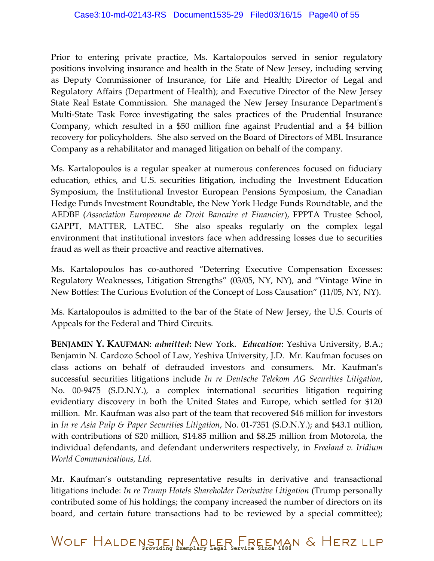Prior to entering private practice, Ms. Kartalopoulos served in senior regulatory positions involving insurance and health in the State of New Jersey, including serving as Deputy Commissioner of Insurance, for Life and Health; Director of Legal and Regulatory Affairs (Department of Health); and Executive Director of the New Jersey State Real Estate Commission. She managed the New Jersey Insurance Department's Multi-State Task Force investigating the sales practices of the Prudential Insurance Company, which resulted in a \$50 million fine against Prudential and a \$4 billion recovery for policyholders. She also served on the Board of Directors of MBL Insurance Company as a rehabilitator and managed litigation on behalf of the company.

Ms. Kartalopoulos is a regular speaker at numerous conferences focused on fiduciary education, ethics, and U.S. securities litigation, including the Investment Education Symposium, the Institutional Investor European Pensions Symposium, the Canadian Hedge Funds Investment Roundtable, the New York Hedge Funds Roundtable, and the AEDBF (*Association Europeenne de Droit Bancaire et Financier*), FPPTA Trustee School, GAPPT, MATTER, LATEC. She also speaks regularly on the complex legal environment that institutional investors face when addressing losses due to securities fraud as well as their proactive and reactive alternatives.

Ms. Kartalopoulos has co-authored "Deterring Executive Compensation Excesses: Regulatory Weaknesses, Litigation Strengths" (03/05, NY, NY), and "Vintage Wine in New Bottles: The Curious Evolution of the Concept of Loss Causation" (11/05, NY, NY).

Ms. Kartalopoulos is admitted to the bar of the State of New Jersey, the U.S. Courts of Appeals for the Federal and Third Circuits.

**BENJAMIN Y. KAUFMAN**: *admitted***:** New York. *Education*: Yeshiva University, B.A.; Benjamin N. Cardozo School of Law, Yeshiva University, J.D. Mr. Kaufman focuses on class actions on behalf of defrauded investors and consumers. Mr. Kaufman's successful securities litigations include *In re Deutsche Telekom AG Securities Litigation*, No. 00-9475 (S.D.N.Y.), a complex international securities litigation requiring evidentiary discovery in both the United States and Europe, which settled for \$120 million. Mr. Kaufman was also part of the team that recovered \$46 million for investors in *In re Asia Pulp & Paper Securities Litigation*, No. 01-7351 (S.D.N.Y.); and \$43.1 million, with contributions of \$20 million, \$14.85 million and \$8.25 million from Motorola, the individual defendants, and defendant underwriters respectively, in *Freeland v. Iridium World Communications, Ltd*.

Mr. Kaufman's outstanding representative results in derivative and transactional litigations include: *In re Trump Hotels Shareholder Derivative Litigation* (Trump personally contributed some of his holdings; the company increased the number of directors on its board, and certain future transactions had to be reviewed by a special committee);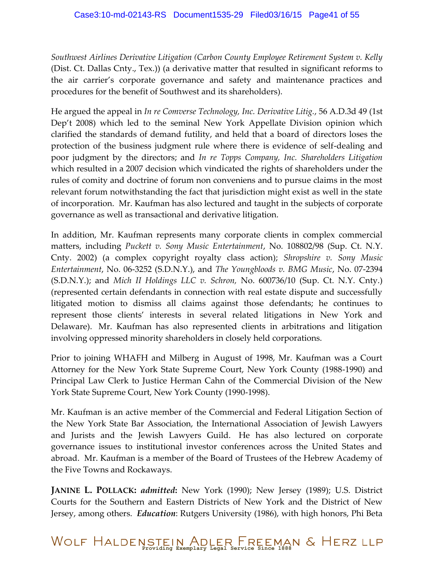*Southwest Airlines Derivative Litigation (Carbon County Employee Retirement System v. Kelly* (Dist. Ct. Dallas Cnty., Tex.)) (a derivative matter that resulted in significant reforms to the air carrier's corporate governance and safety and maintenance practices and procedures for the benefit of Southwest and its shareholders).

He argued the appeal in *In re Comverse Technology, Inc. Derivative Litig.*, 56 A.D.3d 49 (1st Dep't 2008) which led to the seminal New York Appellate Division opinion which clarified the standards of demand futility, and held that a board of directors loses the protection of the business judgment rule where there is evidence of self-dealing and poor judgment by the directors; and *In re Topps Company, Inc. Shareholders Litigation*  which resulted in a 2007 decision which vindicated the rights of shareholders under the rules of comity and doctrine of forum non conveniens and to pursue claims in the most relevant forum notwithstanding the fact that jurisdiction might exist as well in the state of incorporation. Mr. Kaufman has also lectured and taught in the subjects of corporate governance as well as transactional and derivative litigation.

In addition, Mr. Kaufman represents many corporate clients in complex commercial matters, including *Puckett v. Sony Music Entertainment*, No. 108802/98 (Sup. Ct. N.Y. Cnty. 2002) (a complex copyright royalty class action); *Shropshire v. Sony Music Entertainment*, No. 06-3252 (S.D.N.Y.), and *The Youngbloods v. BMG Music*, No. 07-2394 (S.D.N.Y.); and *Mich II Holdings LLC v. Schron,* No. 600736/10 (Sup. Ct. N.Y. Cnty.) (represented certain defendants in connection with real estate dispute and successfully litigated motion to dismiss all claims against those defendants; he continues to represent those clients' interests in several related litigations in New York and Delaware). Mr. Kaufman has also represented clients in arbitrations and litigation involving oppressed minority shareholders in closely held corporations.

Prior to joining WHAFH and Milberg in August of 1998, Mr. Kaufman was a Court Attorney for the New York State Supreme Court, New York County (1988-1990) and Principal Law Clerk to Justice Herman Cahn of the Commercial Division of the New York State Supreme Court, New York County (1990-1998).

Mr. Kaufman is an active member of the Commercial and Federal Litigation Section of the New York State Bar Association, the International Association of Jewish Lawyers and Jurists and the Jewish Lawyers Guild. He has also lectured on corporate governance issues to institutional investor conferences across the United States and abroad. Mr. Kaufman is a member of the Board of Trustees of the Hebrew Academy of the Five Towns and Rockaways.

**JANINE L. POLLACK:** *admitted***:** New York (1990); New Jersey (1989); U.S. District Courts for the Southern and Eastern Districts of New York and the District of New Jersey, among others. *Education*: Rutgers University (1986), with high honors, Phi Beta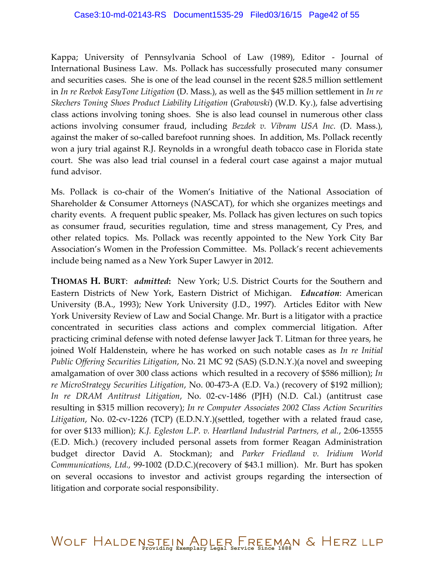Kappa; University of Pennsylvania School of Law (1989), Editor - Journal of International Business Law. Ms. Pollack has successfully prosecuted many consumer and securities cases. She is one of the lead counsel in the recent \$28.5 million settlement in *In re Reebok EasyTone Litigation* (D. Mass.), as well as the \$45 million settlement in *In re Skechers Toning Shoes Product Liability Litigation* (*Grabowski*) (W.D. Ky.), false advertising class actions involving toning shoes. She is also lead counsel in numerous other class actions involving consumer fraud, including *Bezdek v. Vibram USA Inc.* (D. Mass.), against the maker of so-called barefoot running shoes. In addition, Ms. Pollack recently won a jury trial against R.J. Reynolds in a wrongful death tobacco case in Florida state court. She was also lead trial counsel in a federal court case against a major mutual fund advisor.

Ms. Pollack is co-chair of the Women's Initiative of the National Association of Shareholder & Consumer Attorneys (NASCAT), for which she organizes meetings and charity events. A frequent public speaker, Ms. Pollack has given lectures on such topics as consumer fraud, securities regulation, time and stress management, Cy Pres, and other related topics. Ms. Pollack was recently appointed to the New York City Bar Association's Women in the Profession Committee. Ms. Pollack's recent achievements include being named as a New York Super Lawyer in 2012.

**THOMAS H. BURT**: *admitted***:** New York; U.S. District Courts for the Southern and Eastern Districts of New York, Eastern District of Michigan. *Education*: American University (B.A., 1993); New York University (J.D., 1997). Articles Editor with New York University Review of Law and Social Change. Mr. Burt is a litigator with a practice concentrated in securities class actions and complex commercial litigation. After practicing criminal defense with noted defense lawyer Jack T. Litman for three years, he joined Wolf Haldenstein, where he has worked on such notable cases as *In re Initial Public Offering Securities Litigation*, No. 21 MC 92 (SAS) (S.D.N.Y.)(a novel and sweeping amalgamation of over 300 class actions which resulted in a recovery of \$586 million); *In re MicroStrategy Securities Litigation*, No. 00-473-A (E.D. Va.) (recovery of \$192 million); *In re DRAM Antitrust Litigation*, No. 02-cv-1486 (PJH) (N.D. Cal.) (antitrust case resulting in \$315 million recovery); *In re Computer Associates 2002 Class Action Securities Litigation*, No. 02-cv-1226 (TCP) (E.D.N.Y.)(settled, together with a related fraud case, for over \$133 million); *K.J. Egleston L.P. v. Heartland Industrial Partners, et al.*, 2:06-13555 (E.D. Mich.) (recovery included personal assets from former Reagan Administration budget director David A. Stockman); and *Parker Friedland v. Iridium World Communications, Ltd.,* 99-1002 (D.D.C.)(recovery of \$43.1 million). Mr. Burt has spoken on several occasions to investor and activist groups regarding the intersection of litigation and corporate social responsibility.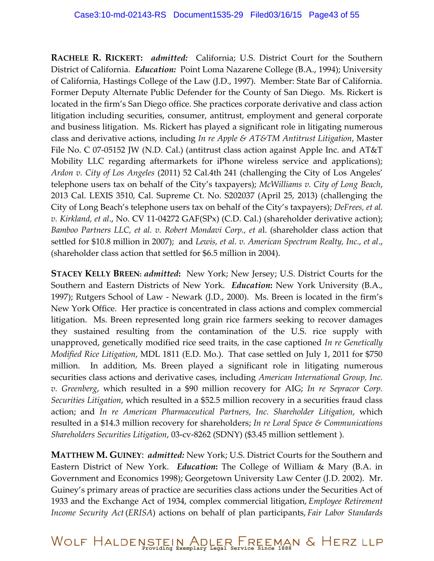**RACHELE R. RICKERT:** *admitted:* California; U.S. District Court for the Southern District of California. *Education:* Point Loma Nazarene College (B.A., 1994); University of California, Hastings College of the Law (J.D., 1997). Member: State Bar of California. Former Deputy Alternate Public Defender for the County of San Diego. Ms. Rickert is located in the firm's San Diego office. She practices corporate derivative and class action litigation including securities, consumer, antitrust, employment and general corporate and business litigation. Ms. Rickert has played a significant role in litigating numerous class and derivative actions, including *In re Apple & AT&TM Antitrust Litigation*, Master File No. C 07-05152 JW (N.D. Cal.) (antitrust class action against Apple Inc. and AT&T Mobility LLC regarding aftermarkets for iPhone wireless service and applications); *Ardon v. City of Los Angeles* (2011) 52 Cal.4th 241 (challenging the City of Los Angeles' telephone users tax on behalf of the City's taxpayers); *McWilliams v. City of Long Beach*, 2013 Cal. LEXIS 3510, Cal. Supreme Ct. No. S202037 (April 25, 2013) (challenging the City of Long Beach's telephone users tax on behalf of the City's taxpayers); *DeFrees, et al. v. Kirkland, et al*., No. CV 11-04272 GAF(SPx) (C.D. Cal.) (shareholder derivative action); *Bamboo Partners LLC, et al. v. Robert Mondavi Corp., et a*l. (shareholder class action that settled for \$10.8 million in 2007); and *Lewis, et al. v. American Spectrum Realty, Inc., et al*., (shareholder class action that settled for \$6.5 million in 2004).

**STACEY KELLY BREEN:** *admitted***:** New York; New Jersey; U.S. District Courts for the Southern and Eastern Districts of New York. *Education***:** New York University (B.A., 1997); Rutgers School of Law - Newark (J.D., 2000). Ms. Breen is located in the firm's New York Office. Her practice is concentrated in class actions and complex commercial litigation. Ms. Breen represented long grain rice farmers seeking to recover damages they sustained resulting from the contamination of the U.S. rice supply with unapproved, genetically modified rice seed traits, in the case captioned *In re Genetically Modified Rice Litigation*, MDL 1811 (E.D. Mo.). That case settled on July 1, 2011 for \$750 million. In addition, Ms. Breen played a significant role in litigating numerous securities class actions and derivative cases, including *American International Group, Inc. v. Greenberg*, which resulted in a \$90 million recovery for AIG; *In re Sepracor Corp. Securities Litigation*, which resulted in a \$52.5 million recovery in a securities fraud class action; and *In re American Pharmaceutical Partners, Inc. Shareholder Litigation*, which resulted in a \$14.3 million recovery for shareholders; *In re Loral Space & Communications Shareholders Securities Litigation*, 03‐cv‐8262 (SDNY) (\$3.45 million settlement ).

**MATTHEW M. GUINEY**: *admitted:* New York; U.S. District Courts for the Southern and Eastern District of New York. *Education***:** The College of William & Mary (B.A. in Government and Economics 1998); Georgetown University Law Center (J.D. 2002). Mr. Guiney's primary areas of practice are securities class actions under the Securities Act of 1933 and the Exchange Act of 1934, complex commercial litigation, *Employee Retirement Income Security Act* (*ERISA*) actions on behalf of plan participants, *Fair Labor Standards*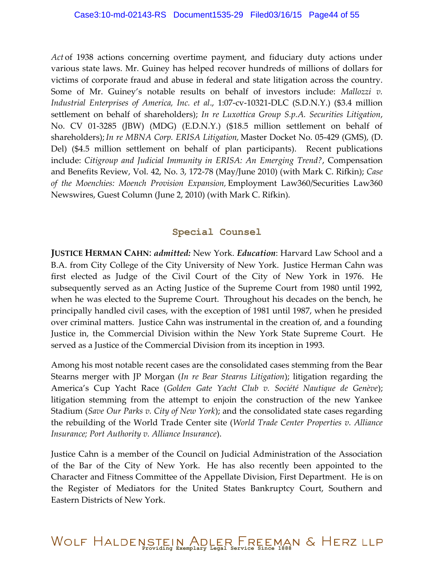*Act* of 1938 actions concerning overtime payment, and fiduciary duty actions under various state laws. Mr. Guiney has helped recover hundreds of millions of dollars for victims of corporate fraud and abuse in federal and state litigation across the country. Some of Mr. Guiney's notable results on behalf of investors include: *Mallozzi v. Industrial Enterprises of America, Inc. et al*., 1:07-cv-10321-DLC (S.D.N.Y.) (\$3.4 million settlement on behalf of shareholders); *In re Luxottica Group S.p.A. Securities Litigation*, No. CV 01-3285 (JBW) (MDG) (E.D.N.Y.) (\$18.5 million settlement on behalf of shareholders); *In re MBNA Corp. ERISA Litigation,* Master Docket No. 05-429 (GMS), (D. Del) (\$4.5 million settlement on behalf of plan participants). Recent publications include: *Citigroup and Judicial Immunity in ERISA: An Emerging Trend?*, Compensation and Benefits Review, Vol. 42, No. 3, 172-78 (May/June 2010) (with Mark C. Rifkin); *Case of the Moenchies: Moench Provision Expansion,* Employment Law360/Securities Law360 Newswires, Guest Column (June 2, 2010) (with Mark C. Rifkin).

#### **Special Counsel**

**JUSTICE HERMAN CAHN**: *admitted:* New York. *Education*: Harvard Law School and a B.A. from City College of the City University of New York. Justice Herman Cahn was first elected as Judge of the Civil Court of the City of New York in 1976. He subsequently served as an Acting Justice of the Supreme Court from 1980 until 1992, when he was elected to the Supreme Court. Throughout his decades on the bench, he principally handled civil cases, with the exception of 1981 until 1987, when he presided over criminal matters. Justice Cahn was instrumental in the creation of, and a founding Justice in, the Commercial Division within the New York State Supreme Court. He served as a Justice of the Commercial Division from its inception in 1993.

Among his most notable recent cases are the consolidated cases stemming from the Bear Stearns merger with JP Morgan (*In re Bear Stearns Litigation*); litigation regarding the America's Cup Yacht Race (*Golden Gate Yacht Club v. Société Nautique de Genève*); litigation stemming from the attempt to enjoin the construction of the new Yankee Stadium (*Save Our Parks v. City of New York*); and the consolidated state cases regarding the rebuilding of the World Trade Center site (*World Trade Center Properties v. Alliance Insurance; Port Authority v. Alliance Insurance*).

Justice Cahn is a member of the Council on Judicial Administration of the Association of the Bar of the City of New York. He has also recently been appointed to the Character and Fitness Committee of the Appellate Division, First Department. He is on the Register of Mediators for the United States Bankruptcy Court, Southern and Eastern Districts of New York.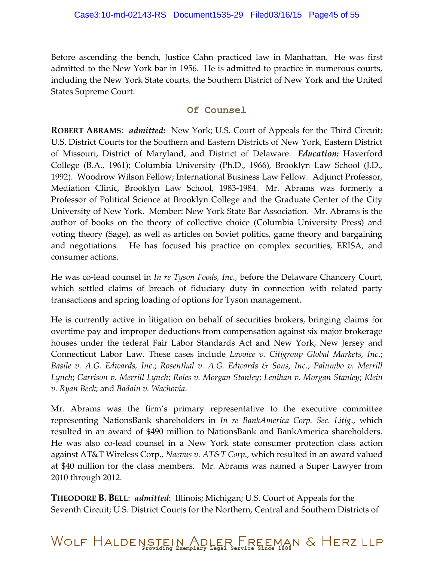Before ascending the bench, Justice Cahn practiced law in Manhattan. He was first admitted to the New York bar in 1956. He is admitted to practice in numerous courts, including the New York State courts, the Southern District of New York and the United States Supreme Court.

#### **Of Counsel**

**ROBERT ABRAMS**: *admitted***:** New York; U.S. Court of Appeals for the Third Circuit; U.S. District Courts for the Southern and Eastern Districts of New York, Eastern District of Missouri, District of Maryland, and District of Delaware. *Education:* Haverford College (B.A., 1961); Columbia University (Ph.D., 1966), Brooklyn Law School (J.D., 1992). Woodrow Wilson Fellow; International Business Law Fellow. Adjunct Professor, Mediation Clinic, Brooklyn Law School, 1983-1984. Mr. Abrams was formerly a Professor of Political Science at Brooklyn College and the Graduate Center of the City University of New York. Member: New York State Bar Association. Mr. Abrams is the author of books on the theory of collective choice (Columbia University Press) and voting theory (Sage), as well as articles on Soviet politics, game theory and bargaining and negotiations. He has focused his practice on complex securities, ERISA, and consumer actions.

He was co-lead counsel in *In re Tyson Foods, Inc.,* before the Delaware Chancery Court, which settled claims of breach of fiduciary duty in connection with related party transactions and spring loading of options for Tyson management.

He is currently active in litigation on behalf of securities brokers, bringing claims for overtime pay and improper deductions from compensation against six major brokerage houses under the federal Fair Labor Standards Act and New York, New Jersey and Connecticut Labor Law. These cases include *Lavoice v. Citigroup Global Markets, Inc*.; *Basile v. A.G. Edwards, Inc*.; *Rosenthal v. A.G. Edwards & Sons, Inc.*; *Palumbo v. Merrill Lynch*; *Garrison v. Merrill Lynch*; *Roles v. Morgan Stanley*; *Lenihan v. Morgan Stanley*; *Klein v. Ryan Beck*; and *Badain v. Wachovia*.

Mr. Abrams was the firm's primary representative to the executive committee representing NationsBank shareholders in *In re BankAmerica Corp. Sec. Litig*., which resulted in an award of \$490 million to NationsBank and BankAmerica shareholders. He was also co-lead counsel in a New York state consumer protection class action against AT&T Wireless Corp., *Naevus v. AT&T Corp*., which resulted in an award valued at \$40 million for the class members. Mr. Abrams was named a Super Lawyer from 2010 through 2012.

**THEODORE B. BELL**: *admitted*: Illinois; Michigan; U.S. Court of Appeals for the Seventh Circuit; U.S. District Courts for the Northern, Central and Southern Districts of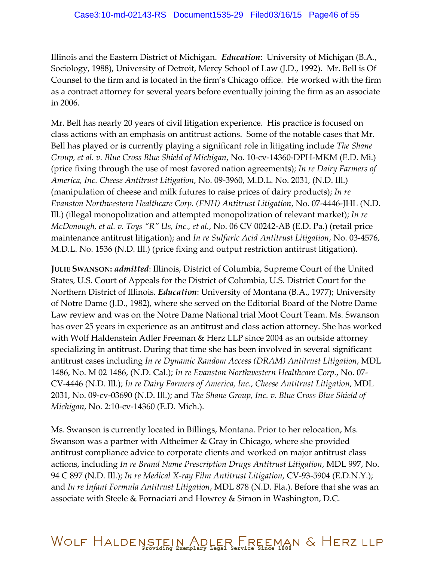Illinois and the Eastern District of Michigan. *Education*: University of Michigan (B.A., Sociology, 1988), University of Detroit, Mercy School of Law (J.D., 1992). Mr. Bell is Of Counsel to the firm and is located in the firm's Chicago office. He worked with the firm as a contract attorney for several years before eventually joining the firm as an associate in 2006.

Mr. Bell has nearly 20 years of civil litigation experience. His practice is focused on class actions with an emphasis on antitrust actions. Some of the notable cases that Mr. Bell has played or is currently playing a significant role in litigating include *The Shane Group, et al. v. Blue Cross Blue Shield of Michigan*, No. 10-cv-14360-DPH-MKM (E.D. Mi.) (price fixing through the use of most favored nation agreements); *In re Dairy Farmers of America, Inc. Cheese Antitrust Litigation*, No. 09-3960, M.D.L. No. 2031, (N.D. Ill.) (manipulation of cheese and milk futures to raise prices of dairy products); *In re Evanston Northwestern Healthcare Corp. (ENH) Antitrust Litigation*, No. 07-4446-JHL (N.D. Ill.) (illegal monopolization and attempted monopolization of relevant market); *In re McDonough, et al. v. Toys "R" Us, Inc., et al.*, No. 06 CV 00242-AB (E.D. Pa.) (retail price maintenance antitrust litigation); and *In re Sulfuric Acid Antitrust Litigation*, No. 03-4576, M.D.L. No. 1536 (N.D. Ill.) (price fixing and output restriction antitrust litigation).

**JULIE SWANSON:** *admitted*: Illinois, District of Columbia, Supreme Court of the United States, U.S. Court of Appeals for the District of Columbia, U.S. District Court for the Northern District of Illinois. *Education*: University of Montana (B.A., 1977); University of Notre Dame (J.D., 1982), where she served on the Editorial Board of the Notre Dame Law review and was on the Notre Dame National trial Moot Court Team. Ms. Swanson has over 25 years in experience as an antitrust and class action attorney. She has worked with Wolf Haldenstein Adler Freeman & Herz LLP since 2004 as an outside attorney specializing in antitrust. During that time she has been involved in several significant antitrust cases including *In re Dynamic Random Access (DRAM) Antitrust Litigation*, MDL 1486, No. M 02 1486, (N.D. Cal.); *In re Evanston Northwestern Healthcare Corp.*, No. 07- CV-4446 (N.D. Ill.); *In re Dairy Farmers of America, Inc., Cheese Antitrust Litigation*, MDL 2031, No. 09-cv-03690 (N.D. Ill.); and *The Shane Group, Inc. v. Blue Cross Blue Shield of Michigan*, No. 2:10-cv-14360 (E.D. Mich.).

Ms. Swanson is currently located in Billings, Montana. Prior to her relocation, Ms. Swanson was a partner with Altheimer & Gray in Chicago, where she provided antitrust compliance advice to corporate clients and worked on major antitrust class actions, including *In re Brand Name Prescription Drugs Antitrust Litigation*, MDL 997, No. 94 C 897 (N.D. Ill.); *In re Medical X-ray Film Antitrust Litigation*, CV-93-5904 (E.D.N.Y.); and *In re Infant Formula Antitrust Litigation*, MDL 878 (N.D. Fla.). Before that she was an associate with Steele & Fornaciari and Howrey & Simon in Washington, D.C.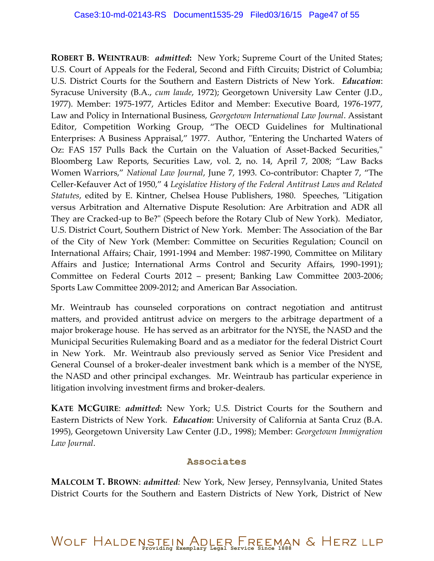**ROBERT B. WEINTRAUB**: *admitted***:** New York; Supreme Court of the United States; U.S. Court of Appeals for the Federal, Second and Fifth Circuits; District of Columbia; U.S. District Courts for the Southern and Eastern Districts of New York. *Education*: Syracuse University (B.A., *cum laude*, 1972); Georgetown University Law Center (J.D., 1977). Member: 1975-1977, Articles Editor and Member: Executive Board, 1976-1977, Law and Policy in International Business, *Georgetown International Law Journal*. Assistant Editor, Competition Working Group, "The OECD Guidelines for Multinational Enterprises: A Business Appraisal," 1977. Author, "Entering the Uncharted Waters of Oz: FAS 157 Pulls Back the Curtain on the Valuation of Asset-Backed Securities," Bloomberg Law Reports, Securities Law, vol. 2, no. 14, April 7, 2008; "Law Backs Women Warriors," *National Law Journal*, June 7, 1993. Co-contributor: Chapter 7, "The Celler-Kefauver Act of 1950," 4 *Legislative History of the Federal Antitrust Laws and Related Statutes*, edited by E. Kintner, Chelsea House Publishers, 1980. Speeches, "Litigation versus Arbitration and Alternative Dispute Resolution: Are Arbitration and ADR all They are Cracked-up to Be?" (Speech before the Rotary Club of New York). Mediator, U.S. District Court, Southern District of New York. Member: The Association of the Bar of the City of New York (Member: Committee on Securities Regulation; Council on International Affairs; Chair, 1991-1994 and Member: 1987-1990, Committee on Military Affairs and Justice; International Arms Control and Security Affairs, 1990-1991); Committee on Federal Courts 2012 – present; Banking Law Committee 2003-2006; Sports Law Committee 2009-2012; and American Bar Association.

Mr. Weintraub has counseled corporations on contract negotiation and antitrust matters, and provided antitrust advice on mergers to the arbitrage department of a major brokerage house. He has served as an arbitrator for the NYSE, the NASD and the Municipal Securities Rulemaking Board and as a mediator for the federal District Court in New York. Mr. Weintraub also previously served as Senior Vice President and General Counsel of a broker-dealer investment bank which is a member of the NYSE, the NASD and other principal exchanges. Mr. Weintraub has particular experience in litigation involving investment firms and broker-dealers.

**KATE MCGUIRE**: *admitted***:** New York; U.S. District Courts for the Southern and Eastern Districts of New York. *Education*: University of California at Santa Cruz (B.A. 1995), Georgetown University Law Center (J.D., 1998); Member: *Georgetown Immigration Law Journal*.

#### **Associates**

**MALCOLM T. BROWN**: *admitted:* New York, New Jersey, Pennsylvania, United States District Courts for the Southern and Eastern Districts of New York, District of New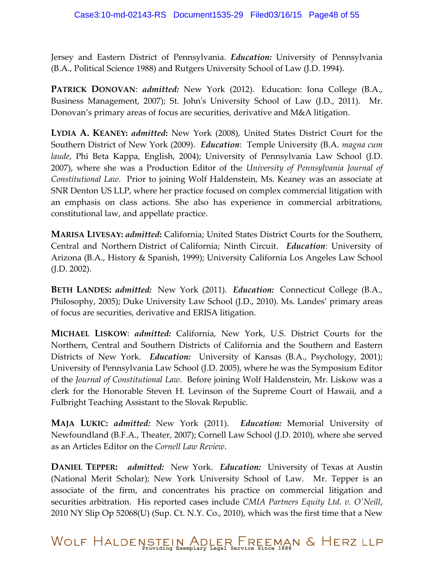Jersey and Eastern District of Pennsylvania. *Education:* University of Pennsylvania (B.A., Political Science 1988) and Rutgers University School of Law (J.D. 1994).

**PATRICK DONOVAN**: *admitted:* New York (2012). Education: Iona College (B.A., Business Management, 2007); St. John's University School of Law (J.D., 2011). Mr. Donovan's primary areas of focus are securities, derivative and M&A litigation.

**LYDIA A. KEANEY:** *admitted***:** New York (2008), United States District Court for the Southern District of New York (2009). *Education*: Temple University (B.A. *magna cum laude*, Phi Beta Kappa, English, 2004); University of Pennsylvania Law School (J.D. 2007), where she was a Production Editor of the *University of Pennsylvania Journal of Constitutional Law*. Prior to joining Wolf Haldenstein, Ms. Keaney was an associate at SNR Denton US LLP, where her practice focused on complex commercial litigation with an emphasis on class actions. She also has experience in commercial arbitrations, constitutional law, and appellate practice.

**MARISA LIVESAY:** *admitted***:** California; United States District Courts for the Southern, Central and Northern District of California; Ninth Circuit. *Education*: University of Arizona (B.A., History & Spanish, 1999); University California Los Angeles Law School (J.D. 2002).

**BETH LANDES:** *admitted:* New York (2011). *Education:* Connecticut College (B.A., Philosophy, 2005); Duke University Law School (J.D., 2010). Ms. Landes' primary areas of focus are securities, derivative and ERISA litigation.

**MICHAEL LISKOW**: *admitted:* California, New York, U.S. District Courts for the Northern, Central and Southern Districts of California and the Southern and Eastern Districts of New York. *Education:* University of Kansas (B.A., Psychology, 2001); University of Pennsylvania Law School (J.D. 2005), where he was the Symposium Editor of the *Journal of Constitutional Law*. Before joining Wolf Haldenstein, Mr. Liskow was a clerk for the Honorable Steven H. Levinson of the Supreme Court of Hawaii, and a Fulbright Teaching Assistant to the Slovak Republic.

**MAJA LUKIC:** *admitted:* New York (2011). *Education:* Memorial University of Newfoundland (B.F.A., Theater, 2007); Cornell Law School (J.D. 2010), where she served as an Articles Editor on the *Cornell Law Review*.

**DANIEL TEPPER:** *admitted:* New York. *Education:* University of Texas at Austin (National Merit Scholar); New York University School of Law. Mr. Tepper is an associate of the firm, and concentrates his practice on commercial litigation and securities arbitration. His reported cases include *CMIA Partners Equity Ltd. v. O'Neill*, 2010 NY Slip Op 52068(U) (Sup. Ct. N.Y. Co., 2010), which was the first time that a New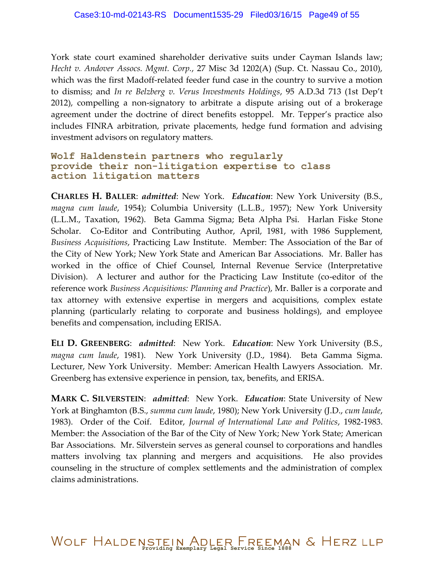York state court examined shareholder derivative suits under Cayman Islands law; *Hecht v. Andover Assocs. Mgmt. Corp.*, 27 Misc 3d 1202(A) (Sup. Ct. Nassau Co., 2010), which was the first Madoff-related feeder fund case in the country to survive a motion to dismiss; and *In re Belzberg v. Verus Investments Holdings*, 95 A.D.3d 713 (1st Dep't 2012), compelling a non-signatory to arbitrate a dispute arising out of a brokerage agreement under the doctrine of direct benefits estoppel. Mr. Tepper's practice also includes FINRA arbitration, private placements, hedge fund formation and advising investment advisors on regulatory matters.

#### **Wolf Haldenstein partners who regularly provide their non-litigation expertise to class action litigation matters**

**CHARLES H. BALLER**: *admitted*: New York. *Education*: New York University (B.S., *magna cum laude*, 1954); Columbia University (L.L.B., 1957); New York University (L.L.M., Taxation, 1962). Beta Gamma Sigma; Beta Alpha Psi. Harlan Fiske Stone Scholar. Co-Editor and Contributing Author, April, 1981, with 1986 Supplement, *Business Acquisitions*, Practicing Law Institute. Member: The Association of the Bar of the City of New York; New York State and American Bar Associations. Mr. Baller has worked in the office of Chief Counsel, Internal Revenue Service (Interpretative Division). A lecturer and author for the Practicing Law Institute (co-editor of the reference work *Business Acquisitions: Planning and Practice*), Mr. Baller is a corporate and tax attorney with extensive expertise in mergers and acquisitions, complex estate planning (particularly relating to corporate and business holdings), and employee benefits and compensation, including ERISA.

**ELI D. GREENBERG**: *admitted*: New York. *Education*: New York University (B.S., *magna cum laude*, 1981). New York University (J.D., 1984). Beta Gamma Sigma. Lecturer, New York University. Member: American Health Lawyers Association. Mr. Greenberg has extensive experience in pension, tax, benefits, and ERISA.

**MARK C. SILVERSTEIN**: *admitted*: New York. *Education*: State University of New York at Binghamton (B.S., *summa cum laude*, 1980); New York University (J.D., *cum laude*, 1983). Order of the Coif. Editor, *Journal of International Law and Politics*, 1982-1983. Member: the Association of the Bar of the City of New York; New York State; American Bar Associations. Mr. Silverstein serves as general counsel to corporations and handles matters involving tax planning and mergers and acquisitions. He also provides counseling in the structure of complex settlements and the administration of complex claims administrations.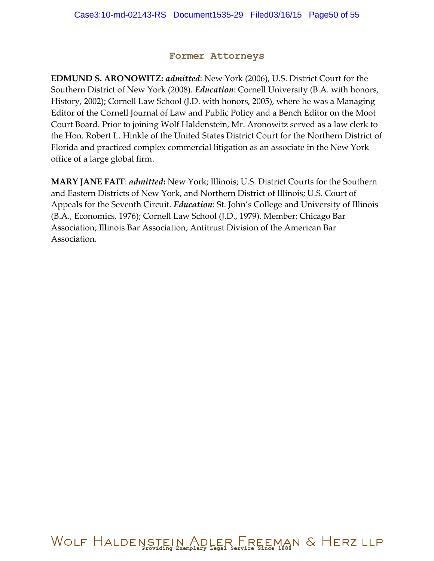#### **Former Attorneys**

**EDMUND S. ARONOWITZ:** *admitted*: New York (2006), U.S. District Court for the Southern District of New York (2008). *Education*: Cornell University (B.A. with honors, History, 2002); Cornell Law School (J.D. with honors, 2005), where he was a Managing Editor of the Cornell Journal of Law and Public Policy and a Bench Editor on the Moot Court Board. Prior to joining Wolf Haldenstein, Mr. Aronowitz served as a law clerk to the Hon. Robert L. Hinkle of the United States District Court for the Northern District of Florida and practiced complex commercial litigation as an associate in the New York office of a large global firm.

**MARY JANE FAIT**: *admitted***:** New York; Illinois; U.S. District Courts for the Southern and Eastern Districts of New York, and Northern District of Illinois; U.S. Court of Appeals for the Seventh Circuit. *Education*: St. John's College and University of Illinois (B.A., Economics, 1976); Cornell Law School (J.D., 1979). Member: Chicago Bar Association; Illinois Bar Association; Antitrust Division of the American Bar Association.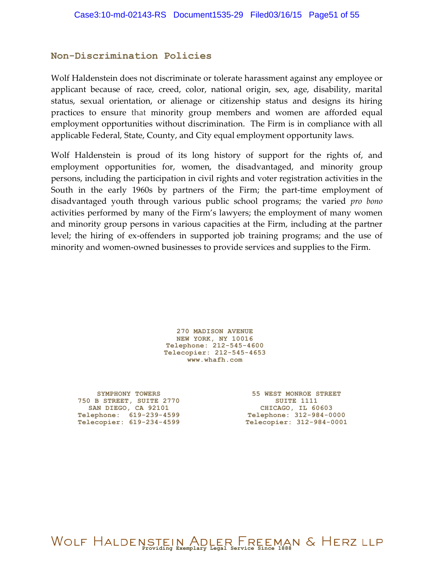#### **Non-Discrimination Policies**

Wolf Haldenstein does not discriminate or tolerate harassment against any employee or applicant because of race, creed, color, national origin, sex, age, disability, marital status, sexual orientation, or alienage or citizenship status and designs its hiring practices to ensure that minority group members and women are afforded equal employment opportunities without discrimination. The Firm is in compliance with all applicable Federal, State, County, and City equal employment opportunity laws.

Wolf Haldenstein is proud of its long history of support for the rights of, and employment opportunities for, women, the disadvantaged, and minority group persons, including the participation in civil rights and voter registration activities in the South in the early 1960s by partners of the Firm; the part-time employment of disadvantaged youth through various public school programs; the varied *pro bono* activities performed by many of the Firm's lawyers; the employment of many women and minority group persons in various capacities at the Firm, including at the partner level; the hiring of ex-offenders in supported job training programs; and the use of minority and women-owned businesses to provide services and supplies to the Firm.

> **270 MADISON AVENUE NEW YORK, NY 10016 Telephone: 212-545-4600 Telecopier: 212-545-4653 [www.whafh.com](http://www.whafh.com/)**

**SYMPHONY TOWERS 750 B STREET, SUITE 2770 SAN DIEGO, CA 92101 Telephone: 619-239-4599 Telecopier: 619-234-4599**

**55 WEST MONROE STREET SUITE 1111 CHICAGO, IL 60603 Telephone: 312-984-0000 Telecopier: 312-984-0001**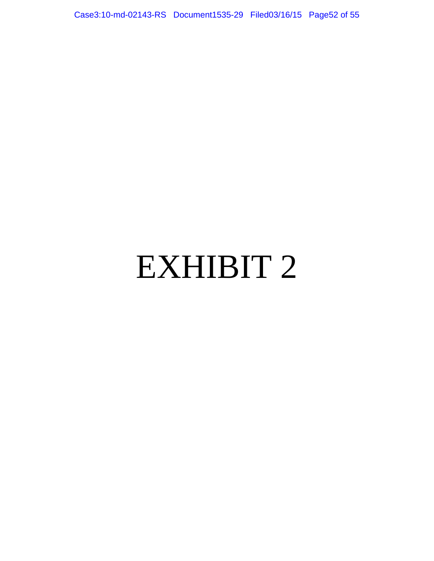Case3:10-md-02143-RS Document1535-29 Filed03/16/15 Page52 of 55

# EXHIBIT 2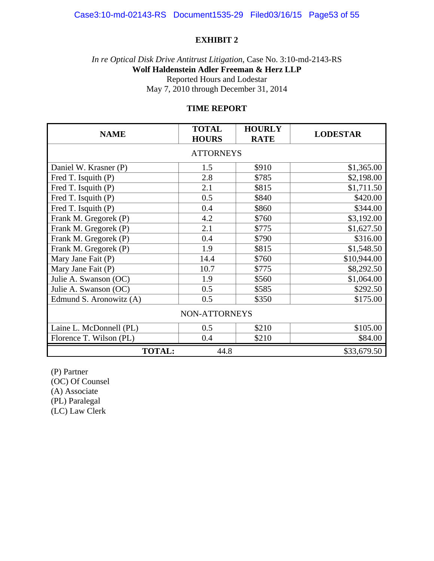#### **EXHIBIT 2**

*In re Optical Disk Drive Antitrust Litigation*, Case No. 3:10-md-2143-RS **Wolf Haldenstein Adler Freeman & Herz LLP**  Reported Hours and Lodestar May 7, 2010 through December 31, 2014

#### **TIME REPORT**

| <b>NAME</b>             | <b>TOTAL</b><br><b>HOURS</b> | <b>HOURLY</b><br><b>RATE</b> | <b>LODESTAR</b> |  |  |  |
|-------------------------|------------------------------|------------------------------|-----------------|--|--|--|
| <b>ATTORNEYS</b>        |                              |                              |                 |  |  |  |
| Daniel W. Krasner (P)   | 1.5                          | \$910                        | \$1,365.00      |  |  |  |
| Fred T. Isquith (P)     | 2.8                          | \$785                        | \$2,198.00      |  |  |  |
| Fred T. Isquith (P)     | 2.1                          | \$815                        | \$1,711.50      |  |  |  |
| Fred T. Isquith (P)     | 0.5                          | \$840                        | \$420.00        |  |  |  |
| Fred T. Isquith (P)     | 0.4                          | \$860                        | \$344.00        |  |  |  |
| Frank M. Gregorek (P)   | 4.2                          | \$760                        | \$3,192.00      |  |  |  |
| Frank M. Gregorek (P)   | 2.1                          | \$775                        | \$1,627.50      |  |  |  |
| Frank M. Gregorek (P)   | 0.4                          | \$790                        | \$316.00        |  |  |  |
| Frank M. Gregorek (P)   | 1.9                          | \$815                        | \$1,548.50      |  |  |  |
| Mary Jane Fait (P)      | 14.4                         | \$760                        | \$10,944.00     |  |  |  |
| Mary Jane Fait (P)      | 10.7                         | \$775                        | \$8,292.50      |  |  |  |
| Julie A. Swanson (OC)   | 1.9                          | \$560                        | \$1,064.00      |  |  |  |
| Julie A. Swanson (OC)   | 0.5                          | \$585                        | \$292.50        |  |  |  |
| Edmund S. Aronowitz (A) | 0.5                          | \$350                        | \$175.00        |  |  |  |
| NON-ATTORNEYS           |                              |                              |                 |  |  |  |
| Laine L. McDonnell (PL) | 0.5                          | \$210                        | \$105.00        |  |  |  |
| Florence T. Wilson (PL) | 0.4                          | \$210                        | \$84.00         |  |  |  |
| <b>TOTAL:</b>           | 44.8                         |                              | \$33,679.50     |  |  |  |

(P) Partner

(OC) Of Counsel

(A) Associate

(PL) Paralegal

(LC) Law Clerk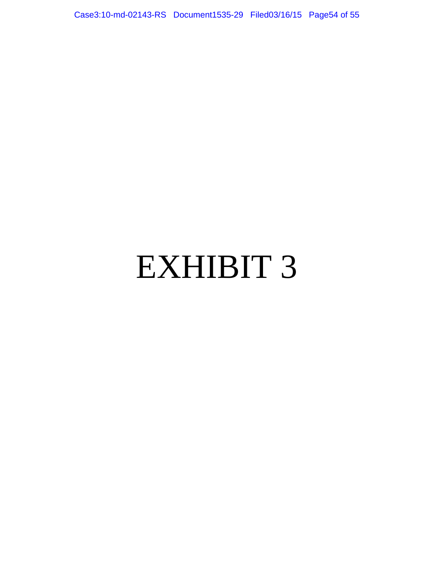Case3:10-md-02143-RS Document1535-29 Filed03/16/15 Page54 of 55

# EXHIBIT 3